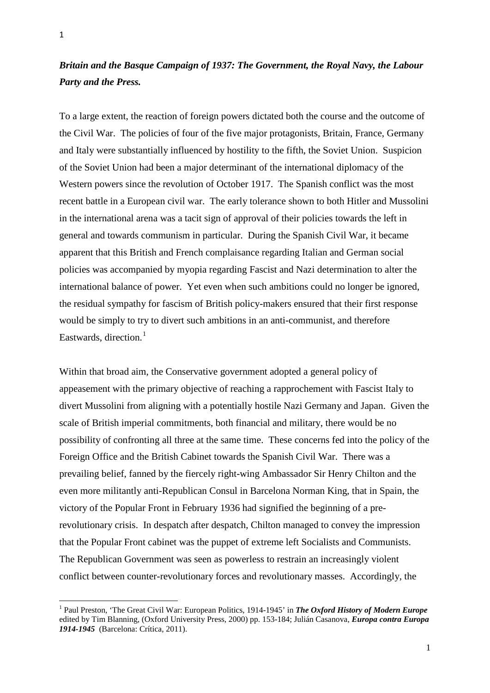## *Britain and the Basque Campaign of 1937: The Government, the Royal Navy, the Labour Party and the Press.*

To a large extent, the reaction of foreign powers dictated both the course and the outcome of the Civil War. The policies of four of the five major protagonists, Britain, France, Germany and Italy were substantially influenced by hostility to the fifth, the Soviet Union. Suspicion of the Soviet Union had been a major determinant of the international diplomacy of the Western powers since the revolution of October 1917. The Spanish conflict was the most recent battle in a European civil war. The early tolerance shown to both Hitler and Mussolini in the international arena was a tacit sign of approval of their policies towards the left in general and towards communism in particular. During the Spanish Civil War, it became apparent that this British and French complaisance regarding Italian and German social policies was accompanied by myopia regarding Fascist and Nazi determination to alter the international balance of power. Yet even when such ambitions could no longer be ignored, the residual sympathy for fascism of British policy-makers ensured that their first response would be simply to try to divert such ambitions in an anti-communist, and therefore Eastwards, direction. $<sup>1</sup>$  $<sup>1</sup>$  $<sup>1</sup>$ </sup>

Within that broad aim, the Conservative government adopted a general policy of appeasement with the primary objective of reaching a rapprochement with Fascist Italy to divert Mussolini from aligning with a potentially hostile Nazi Germany and Japan. Given the scale of British imperial commitments, both financial and military, there would be no possibility of confronting all three at the same time. These concerns fed into the policy of the Foreign Office and the British Cabinet towards the Spanish Civil War. There was a prevailing belief, fanned by the fiercely right-wing Ambassador Sir Henry Chilton and the even more militantly anti-Republican Consul in Barcelona Norman King, that in Spain, the victory of the Popular Front in February 1936 had signified the beginning of a prerevolutionary crisis. In despatch after despatch, Chilton managed to convey the impression that the Popular Front cabinet was the puppet of extreme left Socialists and Communists. The Republican Government was seen as powerless to restrain an increasingly violent conflict between counter-revolutionary forces and revolutionary masses. Accordingly, the

<span id="page-0-0"></span><sup>1</sup> Paul Preston, 'The Great Civil War: European Politics, 1914-1945' in *The Oxford History of Modern Europe*  edited by Tim Blanning, (Oxford University Press, 2000) pp. 153-184; Julián Casanova, *Europa contra Europa 1914-1945* (Barcelona: Crítica, 2011).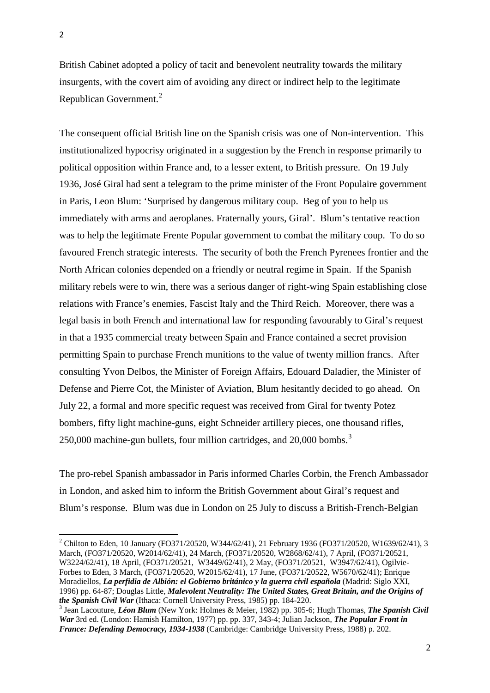British Cabinet adopted a policy of tacit and benevolent neutrality towards the military insurgents, with the covert aim of avoiding any direct or indirect help to the legitimate Republican Government.[2](#page-1-0)

The consequent official British line on the Spanish crisis was one of Non-intervention. This institutionalized hypocrisy originated in a suggestion by the French in response primarily to political opposition within France and, to a lesser extent, to British pressure. On 19 July 1936, José Giral had sent a telegram to the prime minister of the Front Populaire government in Paris, Leon Blum: 'Surprised by dangerous military coup. Beg of you to help us immediately with arms and aeroplanes. Fraternally yours, Giral'. Blum's tentative reaction was to help the legitimate Frente Popular government to combat the military coup. To do so favoured French strategic interests. The security of both the French Pyrenees frontier and the North African colonies depended on a friendly or neutral regime in Spain. If the Spanish military rebels were to win, there was a serious danger of right-wing Spain establishing close relations with France's enemies, Fascist Italy and the Third Reich. Moreover, there was a legal basis in both French and international law for responding favourably to Giral's request in that a 1935 commercial treaty between Spain and France contained a secret provision permitting Spain to purchase French munitions to the value of twenty million francs. After consulting Yvon Delbos, the Minister of Foreign Affairs, Edouard Daladier, the Minister of Defense and Pierre Cot, the Minister of Aviation, Blum hesitantly decided to go ahead. On July 22, a formal and more specific request was received from Giral for twenty Potez bombers, fifty light machine-guns, eight Schneider artillery pieces, one thousand rifles, 250,000 machine-gun bullets, four million cartridges, and 20,000 bombs.<sup>[3](#page-1-1)</sup>

The pro-rebel Spanish ambassador in Paris informed Charles Corbin, the French Ambassador in London, and asked him to inform the British Government about Giral's request and Blum's response. Blum was due in London on 25 July to discuss a British-French-Belgian

<span id="page-1-0"></span><sup>&</sup>lt;sup>2</sup> Chilton to Eden, 10 January (FO371/20520, W344/62/41), 21 February 1936 (FO371/20520, W1639/62/41), 3 March, (FO371/20520, W2014/62/41), 24 March, (FO371/20520, W2868/62/41), 7 April, (FO371/20521, W3224/62/41), 18 April, (FO371/20521, W3449/62/41), 2 May, (FO371/20521, W3947/62/41), Ogilvie-Forbes to Eden, 3 March, (FO371/20520, W2015/62/41), 17 June, (FO371/20522, W5670/62/41); Enrique Moradiellos, *La perfidia de Albión: el Gobierno británico y la guerra civil española* (Madrid: Siglo XXI, 1996) pp. 64-87; Douglas Little, *Malevolent Neutrality: The United States, Great Britain, and the Origins of the Spanish Civil War* (Ithaca: Cornell University Press, 1985) pp. 184-220.<br><sup>3</sup> Jean Lacouture, *Léon Blum* (New York: Holmes & Meier, 1982) pp. 305-6; Hugh Thomas, *The Spanish Civil* 

<span id="page-1-1"></span>*War* 3rd ed. (London: Hamish Hamilton, 1977) pp. pp. 337, 343-4; Julian Jackson, *The Popular Front in France: Defending Democracy, 1934-1938* (Cambridge: Cambridge University Press, 1988) p. 202.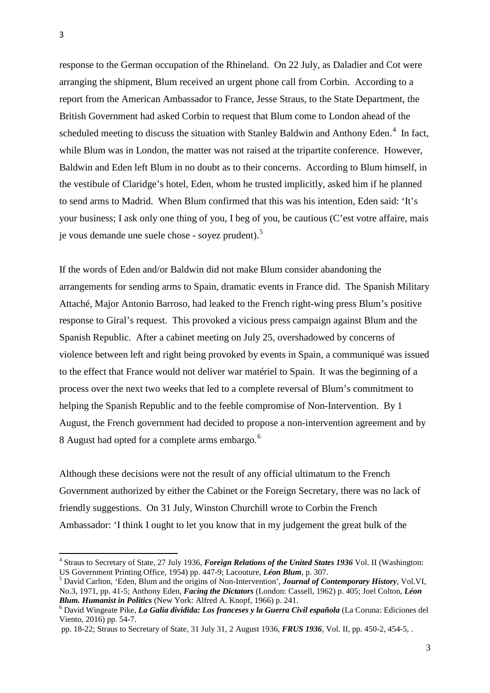response to the German occupation of the Rhineland. On 22 July, as Daladier and Cot were arranging the shipment, Blum received an urgent phone call from Corbin. According to a report from the American Ambassador to France, Jesse Straus, to the State Department, the British Government had asked Corbin to request that Blum come to London ahead of the scheduled meeting to discuss the situation with Stanley Baldwin and Anthony Eden.<sup>[4](#page-2-0)</sup> In fact, while Blum was in London, the matter was not raised at the tripartite conference. However, Baldwin and Eden left Blum in no doubt as to their concerns. According to Blum himself, in the vestibule of Claridge's hotel, Eden, whom he trusted implicitly, asked him if he planned to send arms to Madrid. When Blum confirmed that this was his intention, Eden said: 'It's your business; I ask only one thing of you, I beg of you, be cautious (C'est votre affaire, mais je vous demande une suele chose - soyez prudent).<sup>[5](#page-2-1)</sup>

If the words of Eden and/or Baldwin did not make Blum consider abandoning the arrangements for sending arms to Spain, dramatic events in France did. The Spanish Military Attaché, Major Antonio Barroso, had leaked to the French right-wing press Blum's positive response to Giral's request. This provoked a vicious press campaign against Blum and the Spanish Republic. After a cabinet meeting on July 25, overshadowed by concerns of violence between left and right being provoked by events in Spain, a communiqué was issued to the effect that France would not deliver war matériel to Spain. It was the beginning of a process over the next two weeks that led to a complete reversal of Blum's commitment to helping the Spanish Republic and to the feeble compromise of Non-Intervention. By 1 August, the French government had decided to propose a non-intervention agreement and by 8 August had opted for a complete arms embargo.<sup>[6](#page-2-2)</sup>

Although these decisions were not the result of any official ultimatum to the French Government authorized by either the Cabinet or the Foreign Secretary, there was no lack of friendly suggestions. On 31 July, Winston Churchill wrote to Corbin the French Ambassador: 'I think I ought to let you know that in my judgement the great bulk of the

<span id="page-2-0"></span><sup>&</sup>lt;sup>4</sup> Straus to Secretary of State, 27 July 1936, *Foreign Relations of the United States 1936* Vol. II (Washington: US Government Printing Office, 1954) pp. 447-9; Lacouture, *Léon Blum*, p. 307.

<span id="page-2-1"></span><sup>&</sup>lt;sup>5</sup> David Carlton, 'Eden, Blum and the origins of Non-Intervention', *Journal of Contemporary History*, Vol.VI, No.3, 1971, pp. 41-5; Anthony Eden, *Facing the Dictators* (London: Cassell, 1962) p. 405; Joel Colton, *Léon Blum. Humanist in Politics* (New York: Alfred A. Knopf, 1966) p. 241.<br><sup>6</sup> David Wingeate Pike, *La Galia dividida: Los franceses y la Guerra Civil española* (La Coruna: Ediciones del

<span id="page-2-2"></span>Viento, 2016) pp. 54-7.

pp. 18-22; Straus to Secretary of State, 31 July 31, 2 August 1936, *FRUS 1936*, Vol. II, pp. 450-2, 454-5, .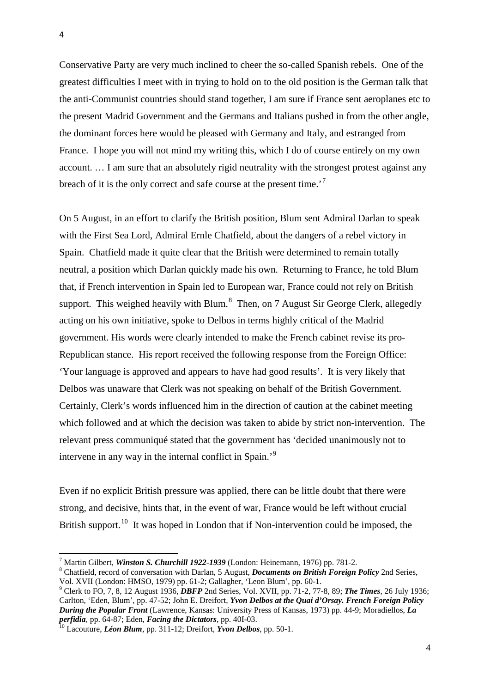Conservative Party are very much inclined to cheer the so-called Spanish rebels. One of the greatest difficulties I meet with in trying to hold on to the old position is the German talk that the anti-Communist countries should stand together, I am sure if France sent aeroplanes etc to the present Madrid Government and the Germans and Italians pushed in from the other angle, the dominant forces here would be pleased with Germany and Italy, and estranged from France. I hope you will not mind my writing this, which I do of course entirely on my own account. … I am sure that an absolutely rigid neutrality with the strongest protest against any breach of it is the only correct and safe course at the present time.<sup>[7](#page-3-0)</sup>

On 5 August, in an effort to clarify the British position, Blum sent Admiral Darlan to speak with the First Sea Lord, Admiral Ernle Chatfield, about the dangers of a rebel victory in Spain. Chatfield made it quite clear that the British were determined to remain totally neutral, a position which Darlan quickly made his own. Returning to France, he told Blum that, if French intervention in Spain led to European war, France could not rely on British support. This weighed heavily with Blum. $<sup>8</sup>$  $<sup>8</sup>$  $<sup>8</sup>$  Then, on 7 August Sir George Clerk, allegedly</sup> acting on his own initiative, spoke to Delbos in terms highly critical of the Madrid government. His words were clearly intended to make the French cabinet revise its pro-Republican stance. His report received the following response from the Foreign Office: 'Your language is approved and appears to have had good results'. It is very likely that Delbos was unaware that Clerk was not speaking on behalf of the British Government. Certainly, Clerk's words influenced him in the direction of caution at the cabinet meeting which followed and at which the decision was taken to abide by strict non-intervention. The relevant press communiqué stated that the government has 'decided unanimously not to intervene in any way in the internal conflict in Spain.'<sup>[9](#page-3-2)</sup>

Even if no explicit British pressure was applied, there can be little doubt that there were strong, and decisive, hints that, in the event of war, France would be left without crucial British support.<sup>[10](#page-3-3)</sup> It was hoped in London that if Non-intervention could be imposed, the

<span id="page-3-1"></span>

<span id="page-3-0"></span><sup>&</sup>lt;sup>7</sup> Martin Gilbert, *Winston S. Churchill 1922-1939* (London: Heinemann, 1976) pp. 781-2.<br><sup>8</sup> Chatfield, record of conversation with Darlan, 5 August, *Documents on British Foreign Policy* 2nd Series, Vol. XVII (London: HM

<span id="page-3-2"></span><sup>&</sup>lt;sup>9</sup> Clerk to FO, 7, 8, 12 August 1936, *DBFP* 2nd Series, Vol. XVII, pp. 71-2, 77-8, 89; *The Times*, 26 July 1936; Carlton, 'Eden, Blum', pp. 47-52; John E. Dreifort, *Yvon Delbos at the Quai d'Orsay. French Foreign Policy During the Popular Front* (Lawrence, Kansas: University Press of Kansas, 1973) pp. 44-9; Moradiellos, *La* 

<span id="page-3-3"></span><sup>&</sup>lt;sup>10</sup> Lacouture, *Léon Blum*, pp. 311-12; Dreifort, *Yvon Delbos*, pp. 50-1.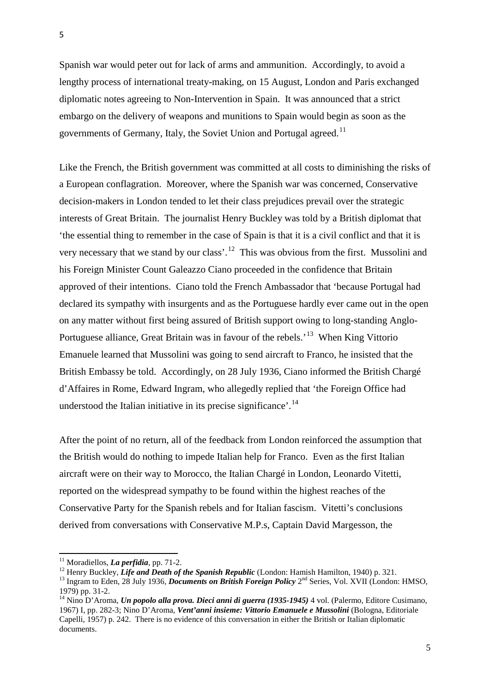Spanish war would peter out for lack of arms and ammunition. Accordingly, to avoid a lengthy process of international treaty-making, on 15 August, London and Paris exchanged diplomatic notes agreeing to Non-Intervention in Spain. It was announced that a strict embargo on the delivery of weapons and munitions to Spain would begin as soon as the governments of Germany, Italy, the Soviet Union and Portugal agreed.<sup>[11](#page-4-0)</sup>

Like the French, the British government was committed at all costs to diminishing the risks of a European conflagration. Moreover, where the Spanish war was concerned, Conservative decision-makers in London tended to let their class prejudices prevail over the strategic interests of Great Britain. The journalist Henry Buckley was told by a British diplomat that 'the essential thing to remember in the case of Spain is that it is a civil conflict and that it is very necessary that we stand by our class'.<sup>[12](#page-4-1)</sup> This was obvious from the first. Mussolini and his Foreign Minister Count Galeazzo Ciano proceeded in the confidence that Britain approved of their intentions. Ciano told the French Ambassador that 'because Portugal had declared its sympathy with insurgents and as the Portuguese hardly ever came out in the open on any matter without first being assured of British support owing to long-standing Anglo-Portuguese alliance, Great Britain was in favour of the rebels.<sup>'13</sup> When King Vittorio Emanuele learned that Mussolini was going to send aircraft to Franco, he insisted that the British Embassy be told. Accordingly, on 28 July 1936, Ciano informed the British Chargé d'Affaires in Rome, Edward Ingram, who allegedly replied that 'the Foreign Office had understood the Italian initiative in its precise significance'.<sup>[14](#page-4-3)</sup>

After the point of no return, all of the feedback from London reinforced the assumption that the British would do nothing to impede Italian help for Franco. Even as the first Italian aircraft were on their way to Morocco, the Italian Chargé in London, Leonardo Vitetti, reported on the widespread sympathy to be found within the highest reaches of the Conservative Party for the Spanish rebels and for Italian fascism. Vitetti's conclusions derived from conversations with Conservative M.P.s, Captain David Margesson, the

<span id="page-4-2"></span>

<span id="page-4-1"></span><span id="page-4-0"></span><sup>&</sup>lt;sup>11</sup> Moradiellos, *La perfidia*, pp. 71-2.<br><sup>12</sup> Henry Buckley, *Life and Death of the Spanish Republic* (London: Hamish Hamilton, 1940) p. 321.<br><sup>13</sup> Ingram to Eden, 28 July 1936, *Documents on British Foreign Policy* 2<sup>nd</sup>

<span id="page-4-3"></span><sup>&</sup>lt;sup>14</sup> Nino D'Aroma, *Un popolo alla prova. Dieci anni di guerra (1935-1945)* 4 vol. (Palermo, Editore Cusimano, 1967) I, pp. 282-3; Nino D'Aroma, *Vent'anni insieme: Vittorio Emanuele e Mussolini* (Bologna, Editoriale Capelli, 1957) p. 242. There is no evidence of this conversation in either the British or Italian diplomatic documents.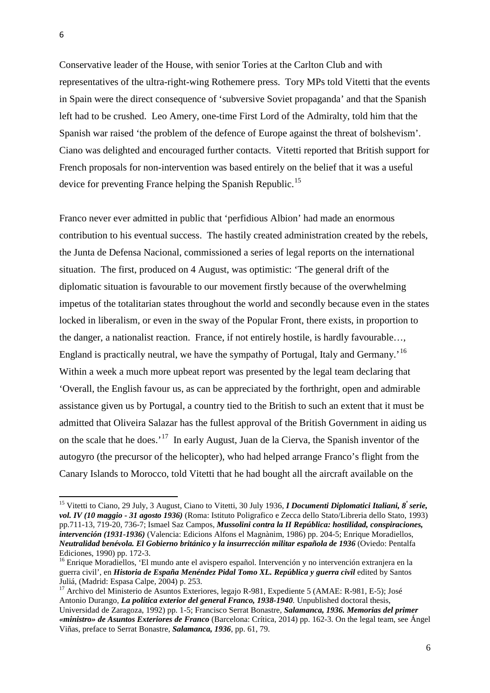Conservative leader of the House, with senior Tories at the Carlton Club and with representatives of the ultra-right-wing Rothemere press. Tory MPs told Vitetti that the events in Spain were the direct consequence of 'subversive Soviet propaganda' and that the Spanish left had to be crushed. Leo Amery, one-time First Lord of the Admiralty, told him that the Spanish war raised 'the problem of the defence of Europe against the threat of bolshevism'. Ciano was delighted and encouraged further contacts. Vitetti reported that British support for French proposals for non-intervention was based entirely on the belief that it was a useful device for preventing France helping the Spanish Republic.<sup>[15](#page-5-0)</sup>

Franco never ever admitted in public that 'perfidious Albion' had made an enormous contribution to his eventual success. The hastily created administration created by the rebels, the Junta de Defensa Nacional, commissioned a series of legal reports on the international situation. The first, produced on 4 August, was optimistic: 'The general drift of the diplomatic situation is favourable to our movement firstly because of the overwhelming impetus of the totalitarian states throughout the world and secondly because even in the states locked in liberalism, or even in the sway of the Popular Front, there exists, in proportion to the danger, a nationalist reaction. France, if not entirely hostile, is hardly favourable…, England is practically neutral, we have the sympathy of Portugal, Italy and Germany.<sup>'[16](#page-5-1)</sup> Within a week a much more upbeat report was presented by the legal team declaring that 'Overall, the English favour us, as can be appreciated by the forthright, open and admirable assistance given us by Portugal, a country tied to the British to such an extent that it must be admitted that Oliveira Salazar has the fullest approval of the British Government in aiding us on the scale that he does.<sup>'17</sup> In early August, Juan de la Cierva, the Spanish inventor of the autogyro (the precursor of the helicopter), who had helped arrange Franco's flight from the Canary Islands to Morocco, told Vitetti that he had bought all the aircraft available on the

<span id="page-5-0"></span><sup>15</sup> Vitetti to Ciano, 29 July, 3 August, Ciano to Vitetti, 30 July 1936, *I Documenti Diplomatici Italiani, 8<sup>ª</sup> serie, vol. IV (10 maggio - 31 agosto 1936)* (Roma: Istituto Poligrafico e Zecca dello Stato/Libreria dello Stato, 1993) pp.711-13, 719-20, 736-7; Ismael Saz Campos, *Mussolini contra la II República: hostilidad, conspiraciones, intervención (1931-1936)* (Valencia: Edicions Alfons el Magnànim, 1986) pp. 204-5; Enrique Moradiellos, *Neutralidad benévola. El Gobierno británico y la insurrección militar española de 1936* (Oviedo: Pentalfa

<span id="page-5-1"></span><sup>&</sup>lt;sup>16</sup> Enrique Moradiellos, 'El mundo ante el avispero español. Intervención y no intervención extranjera en la guerra civil', en *Historia de España Menéndez Pidal Tomo XL. República y guerra civil* edited by Santos Juliá, (Madrid: Espasa Calpe, 2004) p. 253.

<span id="page-5-2"></span><sup>&</sup>lt;sup>17</sup> Archivo del Ministerio de Asuntos Exteriores, legajo R-981, Expediente 5 (AMAE: R-981, E-5); José Antonio Durango, *La política exterior del general Franco, 1938-1940.* Unpublished doctoral thesis, Universidad de Zaragoza, 1992) pp. 1-5; Francisco Serrat Bonastre, *Salamanca, 1936. Memorias del primer «ministro» de Asuntos Exteriores de Franco* (Barcelona: Crítica, 2014) pp. 162-3. On the legal team, see Ángel Viñas, preface to Serrat Bonastre, *Salamanca, 1936*, pp. 61, 79.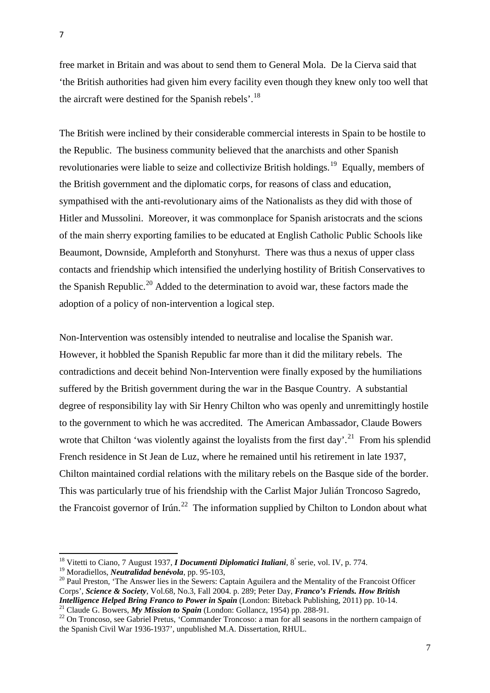free market in Britain and was about to send them to General Mola. De la Cierva said that 'the British authorities had given him every facility even though they knew only too well that the aircraft were destined for the Spanish rebels'.<sup>[18](#page-6-0)</sup>

The British were inclined by their considerable commercial interests in Spain to be hostile to the Republic. The business community believed that the anarchists and other Spanish revolutionaries were liable to seize and collectivize British holdings.<sup>19</sup> Equally, members of the British government and the diplomatic corps, for reasons of class and education, sympathised with the anti-revolutionary aims of the Nationalists as they did with those of Hitler and Mussolini. Moreover, it was commonplace for Spanish aristocrats and the scions of the main sherry exporting families to be educated at English Catholic Public Schools like Beaumont, Downside, Ampleforth and Stonyhurst. There was thus a nexus of upper class contacts and friendship which intensified the underlying hostility of British Conservatives to the Spanish Republic.<sup>[20](#page-6-2)</sup> Added to the determination to avoid war, these factors made the adoption of a policy of non-intervention a logical step.

Non-Intervention was ostensibly intended to neutralise and localise the Spanish war. However, it hobbled the Spanish Republic far more than it did the military rebels. The contradictions and deceit behind Non-Intervention were finally exposed by the humiliations suffered by the British government during the war in the Basque Country. A substantial degree of responsibility lay with Sir Henry Chilton who was openly and unremittingly hostile to the government to which he was accredited. The American Ambassador, Claude Bowers wrote that Chilton 'was violently against the loyalists from the first day'.<sup>21</sup> From his splendid French residence in St Jean de Luz, where he remained until his retirement in late 1937, Chilton maintained cordial relations with the military rebels on the Basque side of the border. This was particularly true of his friendship with the Carlist Major Julián Troncoso Sagredo, the Francoist governor of Irún.<sup>[22](#page-6-4)</sup> The information supplied by Chilton to London about what

<sup>18</sup> Vitetti to Ciano, 7 August 1937, *I Documenti Diplomatici Italiani*, 8<sup>ª</sup> serie, vol. IV, p. 774.

<span id="page-6-2"></span><span id="page-6-1"></span><span id="page-6-0"></span><sup>&</sup>lt;sup>19</sup> Moradiellos, *Neutralidad benévola*, pp. 95-103,<br><sup>20</sup> Paul Preston, 'The Answer lies in the Sewers: Captain Aguilera and the Mentality of the Francoist Officer Corps', *Science & Society*, Vol.68, No.3, Fall 2004. p. 289; Peter Day, *Franco's Friends. How British* 

<span id="page-6-4"></span><span id="page-6-3"></span><sup>&</sup>lt;sup>21</sup> Claude G. Bowers, My Mission to Spain (London: Gollancz, 1954) pp. 288-91.<br><sup>22</sup> On Troncoso, see Gabriel Pretus, 'Commander Troncoso: a man for all seasons in the northern campaign of the Spanish Civil War 1936-1937', unpublished M.A. Dissertation, RHUL.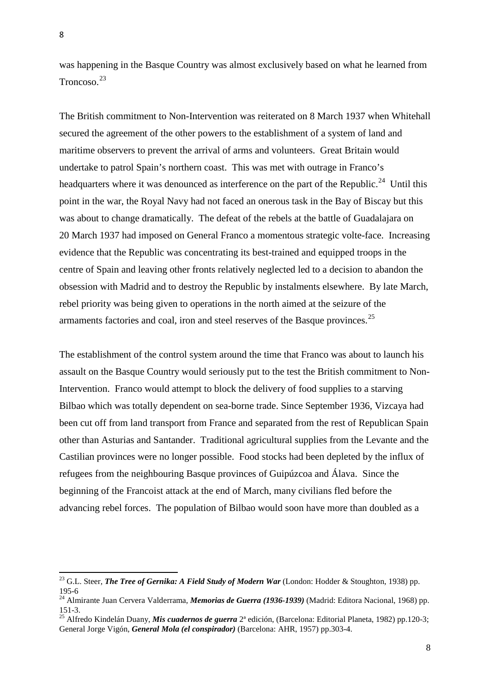was happening in the Basque Country was almost exclusively based on what he learned from Troncoso.[23](#page-7-0)

The British commitment to Non-Intervention was reiterated on 8 March 1937 when Whitehall secured the agreement of the other powers to the establishment of a system of land and maritime observers to prevent the arrival of arms and volunteers. Great Britain would undertake to patrol Spain's northern coast. This was met with outrage in Franco's headquarters where it was denounced as interference on the part of the Republic.<sup>[24](#page-7-1)</sup> Until this point in the war, the Royal Navy had not faced an onerous task in the Bay of Biscay but this was about to change dramatically. The defeat of the rebels at the battle of Guadalajara on 20 March 1937 had imposed on General Franco a momentous strategic volte-face. Increasing evidence that the Republic was concentrating its best-trained and equipped troops in the centre of Spain and leaving other fronts relatively neglected led to a decision to abandon the obsession with Madrid and to destroy the Republic by instalments elsewhere. By late March, rebel priority was being given to operations in the north aimed at the seizure of the armaments factories and coal, iron and steel reserves of the Basque provinces.[25](#page-7-2)

The establishment of the control system around the time that Franco was about to launch his assault on the Basque Country would seriously put to the test the British commitment to Non-Intervention. Franco would attempt to block the delivery of food supplies to a starving Bilbao which was totally dependent on sea-borne trade. Since September 1936, Vizcaya had been cut off from land transport from France and separated from the rest of Republican Spain other than Asturias and Santander. Traditional agricultural supplies from the Levante and the Castilian provinces were no longer possible. Food stocks had been depleted by the influx of refugees from the neighbouring Basque provinces of Guipúzcoa and Álava. Since the beginning of the Francoist attack at the end of March, many civilians fled before the advancing rebel forces. The population of Bilbao would soon have more than doubled as a

<span id="page-7-0"></span><sup>&</sup>lt;sup>23</sup> G.L. Steer, *The Tree of Gernika: A Field Study of Modern War* (London: Hodder & Stoughton, 1938) pp.<br>195-6

<span id="page-7-1"></span><sup>&</sup>lt;sup>24</sup> Almirante Juan Cervera Valderrama, *Memorias de Guerra (1936-1939)* (Madrid: Editora Nacional, 1968) pp. 151-3. <sup>25</sup> Alfredo Kindelán Duany, *Mis cuadernos de guerra* 2ª edición, (Barcelona: Editorial Planeta, 1982) pp.120-3;

<span id="page-7-2"></span>General Jorge Vigón, *General Mola (el conspirador)* (Barcelona: AHR, 1957) pp.303-4.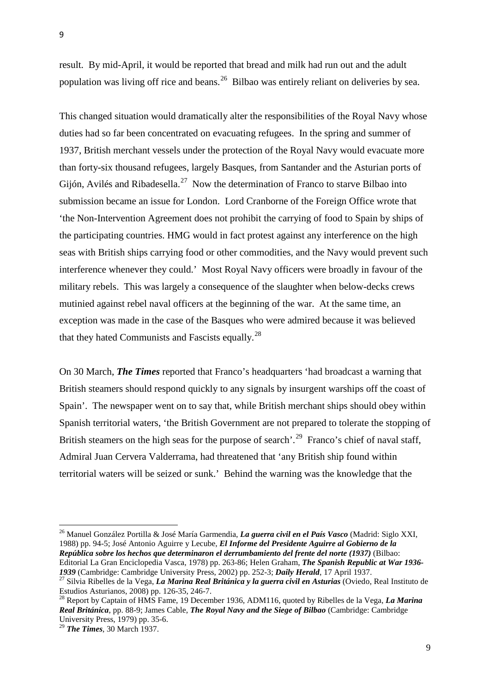result. By mid-April, it would be reported that bread and milk had run out and the adult population was living off rice and beans.<sup>[26](#page-8-0)</sup> Bilbao was entirely reliant on deliveries by sea.

This changed situation would dramatically alter the responsibilities of the Royal Navy whose duties had so far been concentrated on evacuating refugees. In the spring and summer of 1937, British merchant vessels under the protection of the Royal Navy would evacuate more than forty-six thousand refugees, largely Basques, from Santander and the Asturian ports of Gijón, Avilés and Ribadesella.<sup>27</sup> Now the determination of Franco to starve Bilbao into submission became an issue for London. Lord Cranborne of the Foreign Office wrote that 'the Non-Intervention Agreement does not prohibit the carrying of food to Spain by ships of the participating countries. HMG would in fact protest against any interference on the high seas with British ships carrying food or other commodities, and the Navy would prevent such interference whenever they could.' Most Royal Navy officers were broadly in favour of the military rebels. This was largely a consequence of the slaughter when below-decks crews mutinied against rebel naval officers at the beginning of the war. At the same time, an exception was made in the case of the Basques who were admired because it was believed that they hated Communists and Fascists equally.<sup>28</sup>

On 30 March, *The Times* reported that Franco's headquarters 'had broadcast a warning that British steamers should respond quickly to any signals by insurgent warships off the coast of Spain'. The newspaper went on to say that, while British merchant ships should obey within Spanish territorial waters, 'the British Government are not prepared to tolerate the stopping of British steamers on the high seas for the purpose of search<sup>'. 29</sup> Franco's chief of naval staff, Admiral Juan Cervera Valderrama, had threatened that 'any British ship found within territorial waters will be seized or sunk.' Behind the warning was the knowledge that the

Editorial La Gran Enciclopedia Vasca, 1978) pp. 263-86; Helen Graham, *The Spanish Republic at War 1936-*

<span id="page-8-0"></span><sup>26</sup> Manuel González Portilla & José María Garmendia, *La guerra civil en el País Vasco* (Madrid: Siglo XXI, 1988) pp. 94-5; José Antonio Aguirre y Lecube, *El Informe del Presidente Aguirre al Gobierno de la República sobre los hechos que determinaron el derrumbamiento del frente del norte (1937)* (Bilbao:

<span id="page-8-1"></span><sup>&</sup>lt;sup>27</sup> Silvia Ribelles de la Vega, *La Marina Real Británica y la guerra civil en Asturias* (Oviedo, Real Instituto de Estudios Asturianos. 2008) pp. 126-35, 246-7.

<span id="page-8-2"></span><sup>&</sup>lt;sup>28</sup> Report by Captain of HMS Fame, 19 December 1936, ADM116, quoted by Ribelles de la Vega, *La Marina Real Británica*, pp. 88-9; James Cable, *The Royal Navy and the Siege of Bilbao* (Cambridge: Cambridge University Press, 1979) pp. 35-6.

<span id="page-8-3"></span><sup>29</sup> *The Times*, 30 March 1937.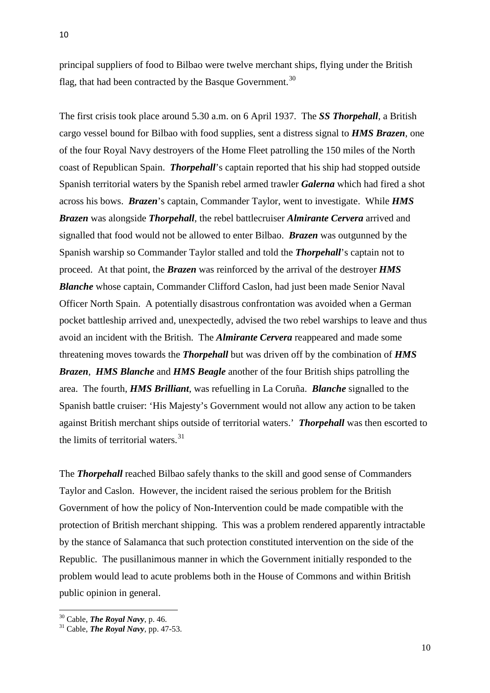principal suppliers of food to Bilbao were twelve merchant ships, flying under the British flag, that had been contracted by the Basque Government.<sup>[30](#page-9-0)</sup>

The first crisis took place around 5.30 a.m. on 6 April 1937. The *SS Thorpehall*, a British cargo vessel bound for Bilbao with food supplies, sent a distress signal to *HMS Brazen*, one of the four Royal Navy destroyers of the Home Fleet patrolling the 150 miles of the North coast of Republican Spain. *Thorpehall*'s captain reported that his ship had stopped outside Spanish territorial waters by the Spanish rebel armed trawler *Galerna* which had fired a shot across his bows. *Brazen*'s captain, Commander Taylor, went to investigate. While *HMS Brazen* was alongside *Thorpehall*, the rebel battlecruiser *Almirante Cervera* arrived and signalled that food would not be allowed to enter Bilbao. *Brazen* was outgunned by the Spanish warship so Commander Taylor stalled and told the *Thorpehall*'s captain not to proceed. At that point, the *Brazen* was reinforced by the arrival of the destroyer *HMS Blanche* whose captain, Commander Clifford Caslon, had just been made Senior Naval Officer North Spain. A potentially disastrous confrontation was avoided when a German pocket battleship arrived and, unexpectedly, advised the two rebel warships to leave and thus avoid an incident with the British. The *Almirante Cervera* reappeared and made some threatening moves towards the *Thorpehall* but was driven off by the combination of *HMS Brazen*, *HMS Blanche* and *HMS Beagle* another of the four British ships patrolling the area. The fourth, *HMS Brilliant*, was refuelling in La Coruña. *Blanche* signalled to the Spanish battle cruiser: 'His Majesty's Government would not allow any action to be taken against British merchant ships outside of territorial waters.' *Thorpehall* was then escorted to the limits of territorial waters.<sup>[31](#page-9-1)</sup>

The *Thorpehall* reached Bilbao safely thanks to the skill and good sense of Commanders Taylor and Caslon. However, the incident raised the serious problem for the British Government of how the policy of Non-Intervention could be made compatible with the protection of British merchant shipping. This was a problem rendered apparently intractable by the stance of Salamanca that such protection constituted intervention on the side of the Republic. The pusillanimous manner in which the Government initially responded to the problem would lead to acute problems both in the House of Commons and within British public opinion in general.

<span id="page-9-1"></span><span id="page-9-0"></span><sup>30</sup> Cable, *The Royal Navy*, p. 46. <sup>31</sup> Cable, *The Royal Navy,* pp. 47-53.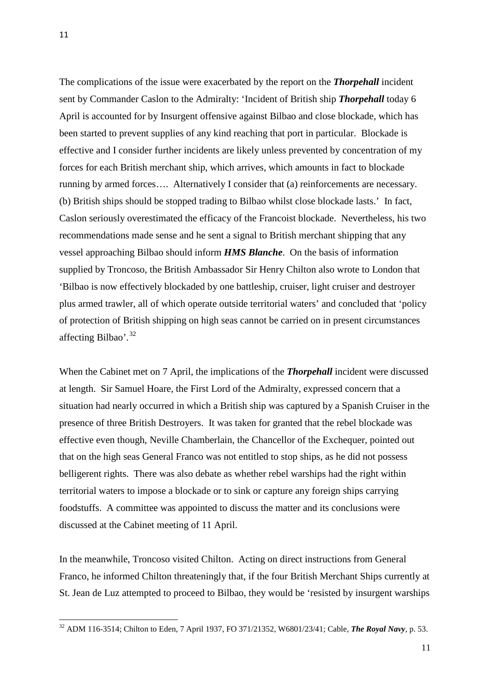The complications of the issue were exacerbated by the report on the *Thorpehall* incident sent by Commander Caslon to the Admiralty: 'Incident of British ship *Thorpehall* today 6 April is accounted for by Insurgent offensive against Bilbao and close blockade, which has been started to prevent supplies of any kind reaching that port in particular. Blockade is effective and I consider further incidents are likely unless prevented by concentration of my forces for each British merchant ship, which arrives, which amounts in fact to blockade running by armed forces…. Alternatively I consider that (a) reinforcements are necessary. (b) British ships should be stopped trading to Bilbao whilst close blockade lasts.' In fact, Caslon seriously overestimated the efficacy of the Francoist blockade. Nevertheless, his two recommendations made sense and he sent a signal to British merchant shipping that any vessel approaching Bilbao should inform *HMS Blanche*. On the basis of information supplied by Troncoso, the British Ambassador Sir Henry Chilton also wrote to London that 'Bilbao is now effectively blockaded by one battleship, cruiser, light cruiser and destroyer plus armed trawler, all of which operate outside territorial waters' and concluded that 'policy of protection of British shipping on high seas cannot be carried on in present circumstances affecting Bilbao'. [32](#page-10-0)

When the Cabinet met on 7 April, the implications of the *Thorpehall* incident were discussed at length. Sir Samuel Hoare, the First Lord of the Admiralty, expressed concern that a situation had nearly occurred in which a British ship was captured by a Spanish Cruiser in the presence of three British Destroyers. It was taken for granted that the rebel blockade was effective even though, Neville Chamberlain, the Chancellor of the Exchequer, pointed out that on the high seas General Franco was not entitled to stop ships, as he did not possess belligerent rights. There was also debate as whether rebel warships had the right within territorial waters to impose a blockade or to sink or capture any foreign ships carrying foodstuffs. A committee was appointed to discuss the matter and its conclusions were discussed at the Cabinet meeting of 11 April.

In the meanwhile, Troncoso visited Chilton. Acting on direct instructions from General Franco, he informed Chilton threateningly that, if the four British Merchant Ships currently at St. Jean de Luz attempted to proceed to Bilbao, they would be 'resisted by insurgent warships

<span id="page-10-0"></span><sup>32</sup> ADM 116-3514; Chilton to Eden, 7 April 1937, FO 371/21352, W6801/23/41; Cable, *The Royal Navy,* p. 53.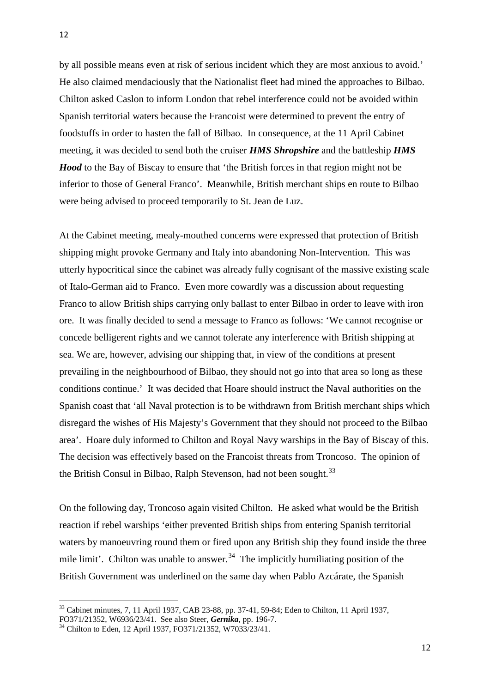by all possible means even at risk of serious incident which they are most anxious to avoid.' He also claimed mendaciously that the Nationalist fleet had mined the approaches to Bilbao. Chilton asked Caslon to inform London that rebel interference could not be avoided within Spanish territorial waters because the Francoist were determined to prevent the entry of foodstuffs in order to hasten the fall of Bilbao. In consequence, at the 11 April Cabinet meeting, it was decided to send both the cruiser *HMS Shropshire* and the battleship *HMS Hood* to the Bay of Biscay to ensure that 'the British forces in that region might not be inferior to those of General Franco'. Meanwhile, British merchant ships en route to Bilbao were being advised to proceed temporarily to St. Jean de Luz.

At the Cabinet meeting, mealy-mouthed concerns were expressed that protection of British shipping might provoke Germany and Italy into abandoning Non-Intervention. This was utterly hypocritical since the cabinet was already fully cognisant of the massive existing scale of Italo-German aid to Franco. Even more cowardly was a discussion about requesting Franco to allow British ships carrying only ballast to enter Bilbao in order to leave with iron ore. It was finally decided to send a message to Franco as follows: 'We cannot recognise or concede belligerent rights and we cannot tolerate any interference with British shipping at sea. We are, however, advising our shipping that, in view of the conditions at present prevailing in the neighbourhood of Bilbao, they should not go into that area so long as these conditions continue.' It was decided that Hoare should instruct the Naval authorities on the Spanish coast that 'all Naval protection is to be withdrawn from British merchant ships which disregard the wishes of His Majesty's Government that they should not proceed to the Bilbao area'. Hoare duly informed to Chilton and Royal Navy warships in the Bay of Biscay of this. The decision was effectively based on the Francoist threats from Troncoso. The opinion of the British Consul in Bilbao, Ralph Stevenson, had not been sought.<sup>[33](#page-11-0)</sup>

On the following day, Troncoso again visited Chilton. He asked what would be the British reaction if rebel warships 'either prevented British ships from entering Spanish territorial waters by manoeuvring round them or fired upon any British ship they found inside the three mile limit'. Chilton was unable to answer.<sup>34</sup> The implicitly humiliating position of the British Government was underlined on the same day when Pablo Azcárate, the Spanish

<span id="page-11-0"></span><sup>&</sup>lt;sup>33</sup> Cabinet minutes, 7, 11 April 1937, CAB 23-88, pp. 37-41, 59-84; Eden to Chilton, 11 April 1937, FO371/21352, W6936/23/41. See also Steer, *Gernika*, pp. 196-7.

<span id="page-11-1"></span><sup>&</sup>lt;sup>34</sup> Chilton to Eden, 12 April 1937, FO371/21352, W7033/23/41.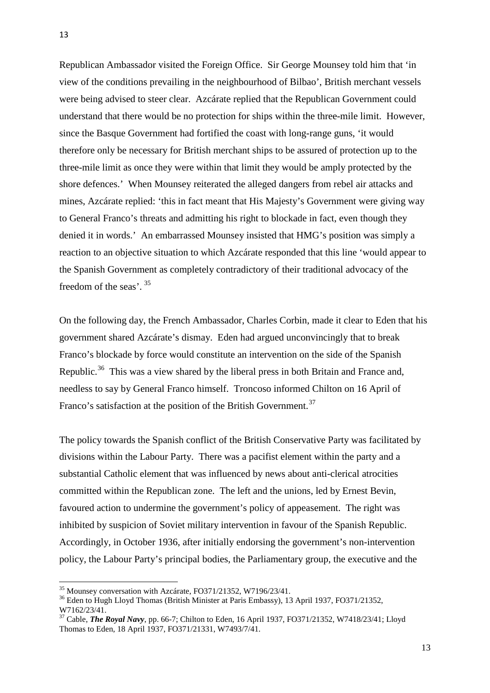Republican Ambassador visited the Foreign Office. Sir George Mounsey told him that 'in view of the conditions prevailing in the neighbourhood of Bilbao', British merchant vessels were being advised to steer clear. Azcárate replied that the Republican Government could understand that there would be no protection for ships within the three-mile limit. However, since the Basque Government had fortified the coast with long-range guns, 'it would therefore only be necessary for British merchant ships to be assured of protection up to the three-mile limit as once they were within that limit they would be amply protected by the shore defences.' When Mounsey reiterated the alleged dangers from rebel air attacks and mines, Azcárate replied: 'this in fact meant that His Majesty's Government were giving way to General Franco's threats and admitting his right to blockade in fact, even though they denied it in words.' An embarrassed Mounsey insisted that HMG's position was simply a reaction to an objective situation to which Azcárate responded that this line 'would appear to the Spanish Government as completely contradictory of their traditional advocacy of the freedom of the seas'. [35](#page-12-0)

On the following day, the French Ambassador, Charles Corbin, made it clear to Eden that his government shared Azcárate's dismay. Eden had argued unconvincingly that to break Franco's blockade by force would constitute an intervention on the side of the Spanish Republic.<sup>36</sup> This was a view shared by the liberal press in both Britain and France and, needless to say by General Franco himself. Troncoso informed Chilton on 16 April of Franco's satisfaction at the position of the British Government.<sup>37</sup>

The policy towards the Spanish conflict of the British Conservative Party was facilitated by divisions within the Labour Party. There was a pacifist element within the party and a substantial Catholic element that was influenced by news about anti-clerical atrocities committed within the Republican zone. The left and the unions, led by Ernest Bevin, favoured action to undermine the government's policy of appeasement. The right was inhibited by suspicion of Soviet military intervention in favour of the Spanish Republic. Accordingly, in October 1936, after initially endorsing the government's non-intervention policy, the Labour Party's principal bodies, the Parliamentary group, the executive and the

13

<span id="page-12-1"></span><span id="page-12-0"></span><sup>&</sup>lt;sup>35</sup> Mounsey conversation with Azcárate, FO371/21352, W7196/23/41.<br><sup>36</sup> Eden to Hugh Lloyd Thomas (British Minister at Paris Embassy), 13 April 1937, FO371/21352, W7162/23/41.

<span id="page-12-2"></span><sup>37</sup> Cable, *The Royal Navy*, pp. 66-7; Chilton to Eden, 16 April 1937, FO371/21352, W7418/23/41; Lloyd Thomas to Eden, 18 April 1937, FO371/21331, W7493/7/41.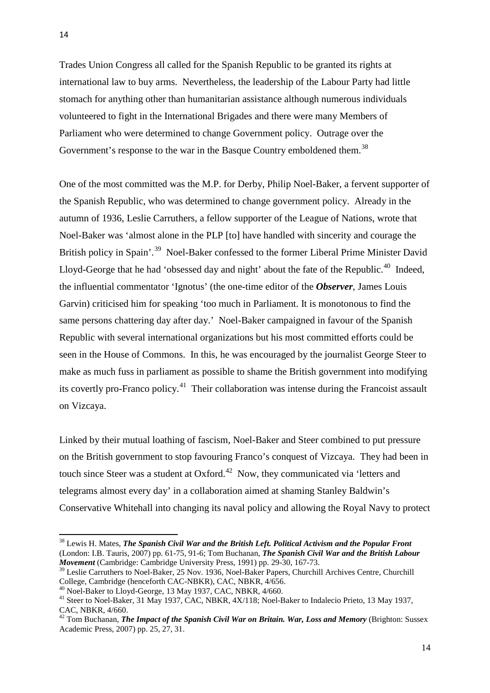Trades Union Congress all called for the Spanish Republic to be granted its rights at international law to buy arms. Nevertheless, the leadership of the Labour Party had little stomach for anything other than humanitarian assistance although numerous individuals volunteered to fight in the International Brigades and there were many Members of Parliament who were determined to change Government policy. Outrage over the Government's response to the war in the Basque Country emboldened them.<sup>[38](#page-13-0)</sup>

One of the most committed was the M.P. for Derby, Philip Noel-Baker, a fervent supporter of the Spanish Republic, who was determined to change government policy. Already in the autumn of 1936, Leslie Carruthers, a fellow supporter of the League of Nations, wrote that Noel-Baker was 'almost alone in the PLP [to] have handled with sincerity and courage the British policy in Spain'.<sup>[39](#page-13-1)</sup> Noel-Baker confessed to the former Liberal Prime Minister David Lloyd-George that he had 'obsessed day and night' about the fate of the Republic.<sup>[40](#page-13-2)</sup> Indeed, the influential commentator 'Ignotus' (the one-time editor of the *Observer*, James Louis Garvin) criticised him for speaking 'too much in Parliament. It is monotonous to find the same persons chattering day after day.' Noel-Baker campaigned in favour of the Spanish Republic with several international organizations but his most committed efforts could be seen in the House of Commons. In this, he was encouraged by the journalist George Steer to make as much fuss in parliament as possible to shame the British government into modifying its covertly pro-Franco policy.[41](#page-13-3) Their collaboration was intense during the Francoist assault on Vizcaya.

Linked by their mutual loathing of fascism, Noel-Baker and Steer combined to put pressure on the British government to stop favouring Franco's conquest of Vizcaya. They had been in touch since Steer was a student at  $Ox$  ford.<sup>42</sup> Now, they communicated via 'letters and telegrams almost every day' in a collaboration aimed at shaming Stanley Baldwin's Conservative Whitehall into changing its naval policy and allowing the Royal Navy to protect

<span id="page-13-0"></span><sup>38</sup> Lewis H. Mates, *The Spanish Civil War and the British Left. Political Activism and the Popular Front*  (London: I.B. Tauris, 2007) pp. 61-75, 91-6; Tom Buchanan, *The Spanish Civil War and the British Labour Movement* (Cambridge: Cambridge University Press, 1991) pp. 29-30, 167-73.

<span id="page-13-1"></span><sup>&</sup>lt;sup>39</sup> Leslie Carruthers to Noel-Baker, 25 Nov. 1936, Noel-Baker Papers, Churchill Archives Centre, Churchill College, Cambridge (henceforth CAC-NBKR), CAC, NBKR, 4/656.

<span id="page-13-3"></span>

<span id="page-13-2"></span><sup>&</sup>lt;sup>40</sup> Noel-Baker to Lloyd-George, 13 May 1937, CAC, NBKR, 4/660.<br><sup>41</sup> Steer to Noel-Baker, 31 May 1937, CAC, NBKR, 4X/118; Noel-Baker to Indalecio Prieto, 13 May 1937, CAC. NBKR. 4/660.

<span id="page-13-4"></span> $\frac{42}{100}$  Tom Buchanan, *The Impact of the Spanish Civil War on Britain. War, Loss and Memory* (Brighton: Sussex Academic Press, 2007) pp. 25, 27, 31.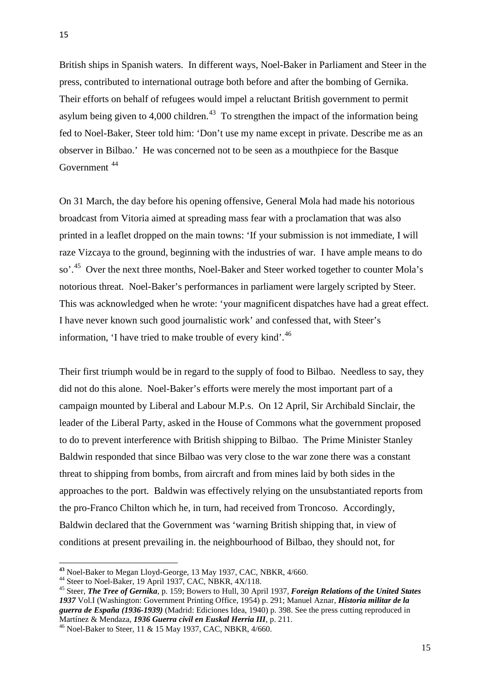British ships in Spanish waters. In different ways, Noel-Baker in Parliament and Steer in the press, contributed to international outrage both before and after the bombing of Gernika. Their efforts on behalf of refugees would impel a reluctant British government to permit asylum being given to 4,000 children.<sup>[43](#page-14-0)</sup> To strengthen the impact of the information being fed to Noel-Baker, Steer told him: 'Don't use my name except in private. Describe me as an observer in Bilbao.' He was concerned not to be seen as a mouthpiece for the Basque Government [44](#page-14-1) 

On 31 March, the day before his opening offensive, General Mola had made his notorious broadcast from Vitoria aimed at spreading mass fear with a proclamation that was also printed in a leaflet dropped on the main towns: 'If your submission is not immediate, I will raze Vizcaya to the ground, beginning with the industries of war. I have ample means to do so'.<sup>[45](#page-14-2)</sup> Over the next three months, Noel-Baker and Steer worked together to counter Mola's notorious threat. Noel-Baker's performances in parliament were largely scripted by Steer. This was acknowledged when he wrote: 'your magnificent dispatches have had a great effect. I have never known such good journalistic work' and confessed that, with Steer's information, 'I have tried to make trouble of every kind'.<sup>[46](#page-14-3)</sup>

Their first triumph would be in regard to the supply of food to Bilbao. Needless to say, they did not do this alone. Noel-Baker's efforts were merely the most important part of a campaign mounted by Liberal and Labour M.P.s. On 12 April, Sir Archibald Sinclair, the leader of the Liberal Party, asked in the House of Commons what the government proposed to do to prevent interference with British shipping to Bilbao. The Prime Minister Stanley Baldwin responded that since Bilbao was very close to the war zone there was a constant threat to shipping from bombs, from aircraft and from mines laid by both sides in the approaches to the port. Baldwin was effectively relying on the unsubstantiated reports from the pro-Franco Chilton which he, in turn, had received from Troncoso. Accordingly, Baldwin declared that the Government was 'warning British shipping that, in view of conditions at present prevailing in. the neighbourhood of Bilbao, they should not, for

<span id="page-14-2"></span><span id="page-14-1"></span>

<span id="page-14-0"></span><sup>&</sup>lt;sup>43</sup> Noel-Baker to Megan Lloyd-George, 13 May 1937, CAC, NBKR, 4/660.<br><sup>44</sup> Steer to Noel-Baker, 19 April 1937, CAC, NBKR, 4X/118.<br><sup>45</sup> Steer, *The Tree of Gernika*, p. 159; Bowers to Hull, 30 April 1937, *Foreign Relations 1937* Vol.I (Washington: Government Printing Office, 1954) p. 291; Manuel Aznar, *Historia militar de la guerra de España (1936-1939)* (Madrid: Ediciones Idea, 1940) p. 398. See the press cutting reproduced in Martínez & Mendaza, *1936 Guerra civil en Euskal Herria III*, p. 211.<br><sup>46</sup> Noel-Baker to Steer, 11 & 15 May 1937, CAC, NBKR, 4/660.

<span id="page-14-3"></span>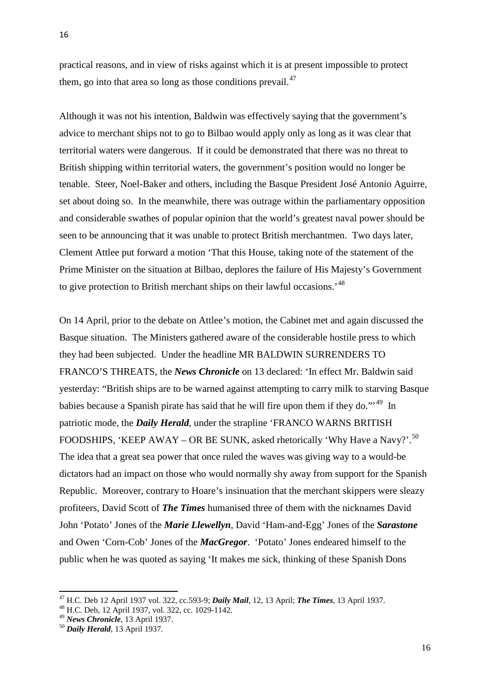practical reasons, and in view of risks against which it is at present impossible to protect them, go into that area so long as those conditions prevail. $47$ 

Although it was not his intention, Baldwin was effectively saying that the government's advice to merchant ships not to go to Bilbao would apply only as long as it was clear that territorial waters were dangerous. If it could be demonstrated that there was no threat to British shipping within territorial waters, the government's position would no longer be tenable. Steer, Noel-Baker and others, including the Basque President José Antonio Aguirre, set about doing so. In the meanwhile, there was outrage within the parliamentary opposition and considerable swathes of popular opinion that the world's greatest naval power should be seen to be announcing that it was unable to protect British merchantmen. Two days later, Clement Attlee put forward a motion 'That this House, taking note of the statement of the Prime Minister on the situation at Bilbao, deplores the failure of His Majesty's Government to give protection to British merchant ships on their lawful occasions.<sup>'[48](#page-15-1)</sup>

On 14 April, prior to the debate on Attlee's motion, the Cabinet met and again discussed the Basque situation. The Ministers gathered aware of the considerable hostile press to which they had been subjected. Under the headline MR BALDWIN SURRENDERS TO FRANCO'S THREATS, the *News Chronicle* on 13 declared: 'In effect Mr. Baldwin said yesterday: "British ships are to be warned against attempting to carry milk to starving Basque babies because a Spanish pirate has said that he will fire upon them if they do."<sup>[49](#page-15-2)</sup> In patriotic mode, the *Daily Herald*, under the strapline 'FRANCO WARNS BRITISH FOODSHIPS, 'KEEP AWAY – OR BE SUNK, asked rhetorically 'Why Have a Navy?'.<sup>50</sup> The idea that a great sea power that once ruled the waves was giving way to a would-be dictators had an impact on those who would normally shy away from support for the Spanish Republic. Moreover, contrary to Hoare's insinuation that the merchant skippers were sleazy profiteers, David Scott of *The Times* humanised three of them with the nicknames David John 'Potato' Jones of the *Marie Llewellyn*, David 'Ham-and-Egg' Jones of the *Sarastone* and Owen 'Corn-Cob' Jones of the *MacGregor*. 'Potato' Jones endeared himself to the public when he was quoted as saying 'It makes me sick, thinking of these Spanish Dons

<span id="page-15-0"></span><sup>47</sup> H.C. Deb 12 April 1937 vol. 322, cc.593-9; *Daily Mail*, 12, 13 April; *The Times*, 13 April 1937. <sup>48</sup> H.C. Deb, 12 April 1937, vol. 322, cc. 1029-1142.

<span id="page-15-1"></span>

<span id="page-15-3"></span><span id="page-15-2"></span><sup>49</sup> *News Chronicle*, 13 April 1937. 50 *Daily Herald*, 13 April 1937.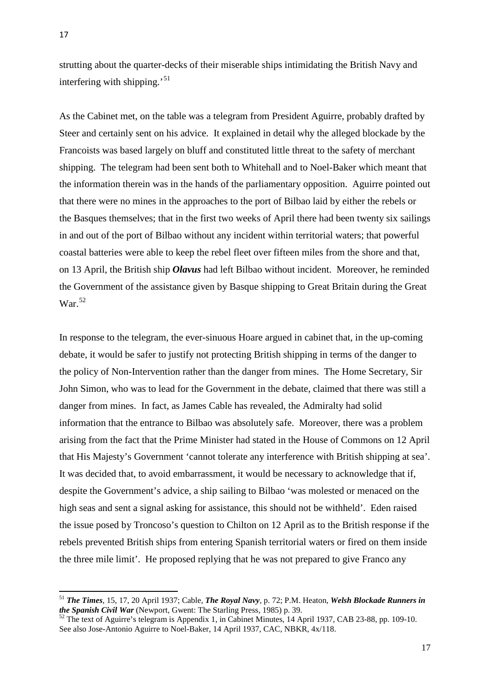17

strutting about the quarter-decks of their miserable ships intimidating the British Navy and interfering with shipping.<sup>[51](#page-16-0)</sup>

As the Cabinet met, on the table was a telegram from President Aguirre, probably drafted by Steer and certainly sent on his advice. It explained in detail why the alleged blockade by the Francoists was based largely on bluff and constituted little threat to the safety of merchant shipping. The telegram had been sent both to Whitehall and to Noel-Baker which meant that the information therein was in the hands of the parliamentary opposition. Aguirre pointed out that there were no mines in the approaches to the port of Bilbao laid by either the rebels or the Basques themselves; that in the first two weeks of April there had been twenty six sailings in and out of the port of Bilbao without any incident within territorial waters; that powerful coastal batteries were able to keep the rebel fleet over fifteen miles from the shore and that, on 13 April, the British ship *Olavus* had left Bilbao without incident. Moreover, he reminded the Government of the assistance given by Basque shipping to Great Britain during the Great War.<sup>[52](#page-16-1)</sup>

In response to the telegram, the ever-sinuous Hoare argued in cabinet that, in the up-coming debate, it would be safer to justify not protecting British shipping in terms of the danger to the policy of Non-Intervention rather than the danger from mines. The Home Secretary, Sir John Simon, who was to lead for the Government in the debate, claimed that there was still a danger from mines. In fact, as James Cable has revealed, the Admiralty had solid information that the entrance to Bilbao was absolutely safe. Moreover, there was a problem arising from the fact that the Prime Minister had stated in the House of Commons on 12 April that His Majesty's Government 'cannot tolerate any interference with British shipping at sea'. It was decided that, to avoid embarrassment, it would be necessary to acknowledge that if, despite the Government's advice, a ship sailing to Bilbao 'was molested or menaced on the high seas and sent a signal asking for assistance, this should not be withheld'. Eden raised the issue posed by Troncoso's question to Chilton on 12 April as to the British response if the rebels prevented British ships from entering Spanish territorial waters or fired on them inside the three mile limit'. He proposed replying that he was not prepared to give Franco any

<span id="page-16-0"></span><sup>51</sup> *The Times*, 15, 17, 20 April 1937; Cable, *The Royal Navy,* p. 72; P.M. Heaton, *Welsh Blockade Runners in* 

<span id="page-16-1"></span><sup>&</sup>lt;sup>52</sup> The text of Aguirre's telegram is Appendix 1, in Cabinet Minutes, 14 April 1937, CAB 23-88, pp. 109-10. See also Jose-Antonio Aguirre to Noel-Baker, 14 April 1937, CAC, NBKR, 4x/118.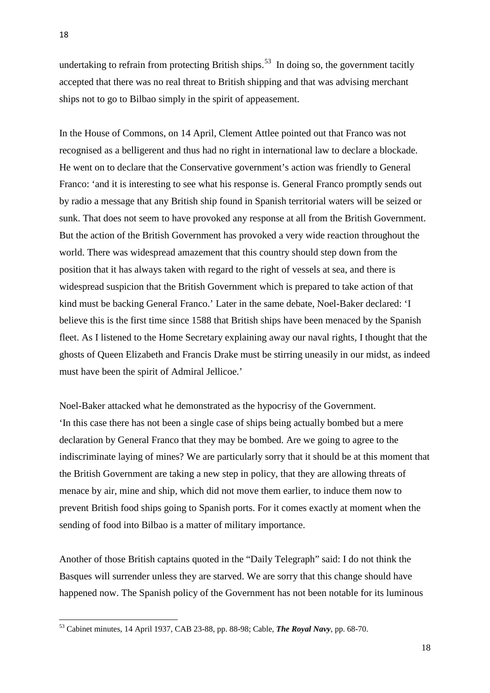undertaking to refrain from protecting British ships.<sup>53</sup> In doing so, the government tacitly accepted that there was no real threat to British shipping and that was advising merchant ships not to go to Bilbao simply in the spirit of appeasement.

In the House of Commons, on 14 April, Clement Attlee pointed out that Franco was not recognised as a belligerent and thus had no right in international law to declare a blockade. He went on to declare that the Conservative government's action was friendly to General Franco: 'and it is interesting to see what his response is. General Franco promptly sends out by radio a message that any British ship found in Spanish territorial waters will be seized or sunk. That does not seem to have provoked any response at all from the British Government. But the action of the British Government has provoked a very wide reaction throughout the world. There was widespread amazement that this country should step down from the position that it has always taken with regard to the right of vessels at sea, and there is widespread suspicion that the British Government which is prepared to take action of that kind must be backing General Franco.' Later in the same debate, Noel-Baker declared: 'I believe this is the first time since 1588 that British ships have been menaced by the Spanish fleet. As I listened to the Home Secretary explaining away our naval rights, I thought that the ghosts of Queen Elizabeth and Francis Drake must be stirring uneasily in our midst, as indeed must have been the spirit of Admiral Jellicoe.'

Noel-Baker attacked what he demonstrated as the hypocrisy of the Government. 'In this case there has not been a single case of ships being actually bombed but a mere declaration by General Franco that they may be bombed. Are we going to agree to the indiscriminate laying of mines? We are particularly sorry that it should be at this moment that the British Government are taking a new step in policy, that they are allowing threats of menace by air, mine and ship, which did not move them earlier, to induce them now to prevent British food ships going to Spanish ports. For it comes exactly at moment when the sending of food into Bilbao is a matter of military importance.

Another of those British captains quoted in the "Daily Telegraph" said: I do not think the Basques will surrender unless they are starved. We are sorry that this change should have happened now. The Spanish policy of the Government has not been notable for its luminous

<span id="page-17-0"></span><sup>53</sup> Cabinet minutes, 14 April 1937, CAB 23-88, pp. 88-98; Cable, *The Royal Navy*, pp. 68-70.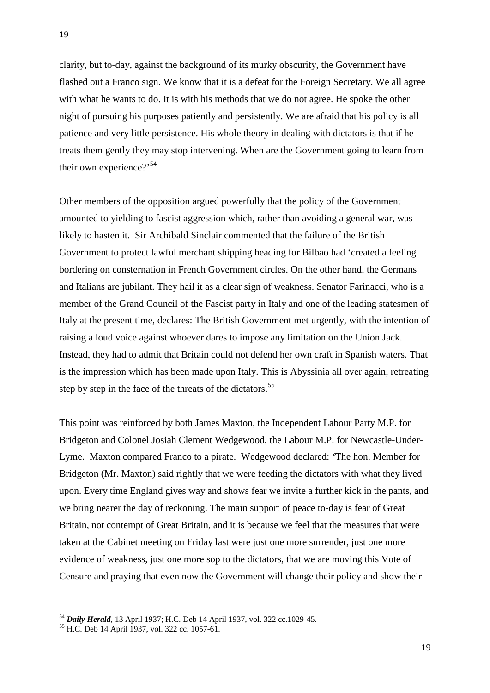clarity, but to-day, against the background of its murky obscurity, the Government have flashed out a Franco sign. We know that it is a defeat for the Foreign Secretary. We all agree with what he wants to do. It is with his methods that we do not agree. He spoke the other night of pursuing his purposes patiently and persistently. We are afraid that his policy is all patience and very little persistence. His whole theory in dealing with dictators is that if he treats them gently they may stop intervening. When are the Government going to learn from their own experience?'<sup>[54](#page-18-0)</sup>

Other members of the opposition argued powerfully that the policy of the Government amounted to yielding to fascist aggression which, rather than avoiding a general war, was likely to hasten it. Sir Archibald Sinclair commented that the failure of the British Government to protect lawful merchant shipping heading for Bilbao had 'created a feeling bordering on consternation in French Government circles. On the other hand, the Germans and Italians are jubilant. They hail it as a clear sign of weakness. Senator Farinacci, who is a member of the Grand Council of the Fascist party in Italy and one of the leading statesmen of Italy at the present time, declares: The British Government met urgently, with the intention of raising a loud voice against whoever dares to impose any limitation on the Union Jack. Instead, they had to admit that Britain could not defend her own craft in Spanish waters. That is the impression which has been made upon Italy. This is Abyssinia all over again, retreating step by step in the face of the threats of the dictators.<sup>55</sup>

This point was reinforced by both James Maxton, the Independent Labour Party M.P. for Bridgeton and Colonel Josiah Clement Wedgewood, the Labour M.P. for Newcastle-Under-Lyme. Maxton compared Franco to a pirate. Wedgewood declared: *'*The hon. Member for Bridgeton (Mr. Maxton) said rightly that we were feeding the dictators with what they lived upon. Every time England gives way and shows fear we invite a further kick in the pants, and we bring nearer the day of reckoning. The main support of peace to-day is fear of Great Britain, not contempt of Great Britain, and it is because we feel that the measures that were taken at the Cabinet meeting on Friday last were just one more surrender, just one more evidence of weakness, just one more sop to the dictators, that we are moving this Vote of Censure and praying that even now the Government will change their policy and show their

<span id="page-18-0"></span><sup>&</sup>lt;sup>54</sup> *Daily Herald*, 13 April 1937; H.C. Deb 14 April 1937, vol. 322 cc.1029-45.<br><sup>55</sup> H.C. Deb 14 April 1937, vol. 322 cc. 1057-61.

<span id="page-18-1"></span>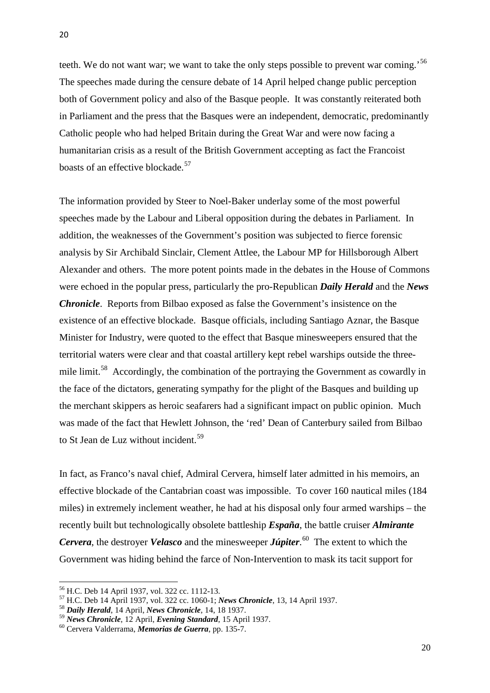teeth. We do not want war; we want to take the only steps possible to prevent war coming.<sup>56</sup> The speeches made during the censure debate of 14 April helped change public perception both of Government policy and also of the Basque people. It was constantly reiterated both in Parliament and the press that the Basques were an independent, democratic, predominantly Catholic people who had helped Britain during the Great War and were now facing a humanitarian crisis as a result of the British Government accepting as fact the Francoist boasts of an effective blockade.<sup>[57](#page-19-1)</sup>

The information provided by Steer to Noel-Baker underlay some of the most powerful speeches made by the Labour and Liberal opposition during the debates in Parliament. In addition, the weaknesses of the Government's position was subjected to fierce forensic analysis by Sir Archibald Sinclair, Clement Attlee, the Labour MP for Hillsborough Albert Alexander and others. The more potent points made in the debates in the House of Commons were echoed in the popular press, particularly the pro-Republican *Daily Herald* and the *News Chronicle*. Reports from Bilbao exposed as false the Government's insistence on the existence of an effective blockade. Basque officials, including Santiago Aznar, the Basque Minister for Industry, were quoted to the effect that Basque minesweepers ensured that the territorial waters were clear and that coastal artillery kept rebel warships outside the threemile limit.<sup>58</sup> Accordingly, the combination of the portraying the Government as cowardly in the face of the dictators, generating sympathy for the plight of the Basques and building up the merchant skippers as heroic seafarers had a significant impact on public opinion. Much was made of the fact that Hewlett Johnson, the 'red' Dean of Canterbury sailed from Bilbao to St Jean de Luz without incident.<sup>59</sup>

In fact, as Franco's naval chief, Admiral Cervera, himself later admitted in his memoirs, an effective blockade of the Cantabrian coast was impossible. To cover 160 nautical miles (184 miles) in extremely inclement weather, he had at his disposal only four armed warships – the recently built but technologically obsolete battleship *España*, the battle cruiser *Almirante Cervera*, the destroyer *Velasco* and the minesweeper *Júpiter*. [60](#page-19-4) The extent to which the Government was hiding behind the farce of Non-Intervention to mask its tacit support for

<span id="page-19-1"></span><span id="page-19-0"></span><sup>56</sup> H.C. Deb 14 April 1937, vol. 322 cc. 1112-13. <sup>57</sup> H.C. Deb 14 April 1937, vol. 322 cc. 1060-1; *News Chronicle*, 13, 14 April 1937. <sup>58</sup> *Daily Herald*, 14 April, *News Chronicle*, 14, 18 1937.

<span id="page-19-2"></span>

<span id="page-19-3"></span><sup>59</sup> *News Chronicle*, 12 April, *Evening Standard*, 15 April 1937. 60 Cervera Valderrama, *Memorias de Guerra*, pp. 135-7.

<span id="page-19-4"></span>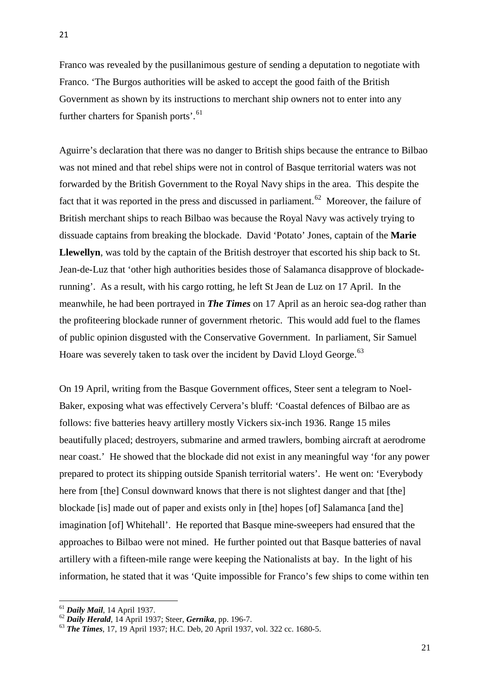Franco was revealed by the pusillanimous gesture of sending a deputation to negotiate with Franco. 'The Burgos authorities will be asked to accept the good faith of the British Government as shown by its instructions to merchant ship owners not to enter into any further charters for Spanish ports'.<sup>[61](#page-20-0)</sup>

Aguirre's declaration that there was no danger to British ships because the entrance to Bilbao was not mined and that rebel ships were not in control of Basque territorial waters was not forwarded by the British Government to the Royal Navy ships in the area. This despite the fact that it was reported in the press and discussed in parliament.<sup>62</sup> Moreover, the failure of British merchant ships to reach Bilbao was because the Royal Navy was actively trying to dissuade captains from breaking the blockade. David 'Potato' Jones, captain of the **Marie Llewellyn**, was told by the captain of the British destroyer that escorted his ship back to St. Jean-de-Luz that 'other high authorities besides those of Salamanca disapprove of blockaderunning'. As a result, with his cargo rotting, he left St Jean de Luz on 17 April. In the meanwhile, he had been portrayed in *The Times* on 17 April as an heroic sea-dog rather than the profiteering blockade runner of government rhetoric. This would add fuel to the flames of public opinion disgusted with the Conservative Government. In parliament, Sir Samuel Hoare was severely taken to task over the incident by David Lloyd George.<sup>[63](#page-20-2)</sup>

On 19 April, writing from the Basque Government offices, Steer sent a telegram to Noel-Baker, exposing what was effectively Cervera's bluff: 'Coastal defences of Bilbao are as follows: five batteries heavy artillery mostly Vickers six-inch 1936. Range 15 miles beautifully placed; destroyers, submarine and armed trawlers, bombing aircraft at aerodrome near coast.' He showed that the blockade did not exist in any meaningful way 'for any power prepared to protect its shipping outside Spanish territorial waters'. He went on: 'Everybody here from [the] Consul downward knows that there is not slightest danger and that [the] blockade [is] made out of paper and exists only in [the] hopes [of] Salamanca [and the] imagination [of] Whitehall'. He reported that Basque mine-sweepers had ensured that the approaches to Bilbao were not mined. He further pointed out that Basque batteries of naval artillery with a fifteen-mile range were keeping the Nationalists at bay. In the light of his information, he stated that it was 'Quite impossible for Franco's few ships to come within ten

<span id="page-20-2"></span><span id="page-20-1"></span>

<span id="page-20-0"></span><sup>61</sup> *Daily Mail*, 14 April 1937. <sup>62</sup> *Daily Herald*, 14 April 1937; Steer, *Gernika*, pp. 196-7. <sup>63</sup> *The Times*, 17, 19 April 1937; H.C. Deb, 20 April 1937, vol. 322 cc. 1680-5.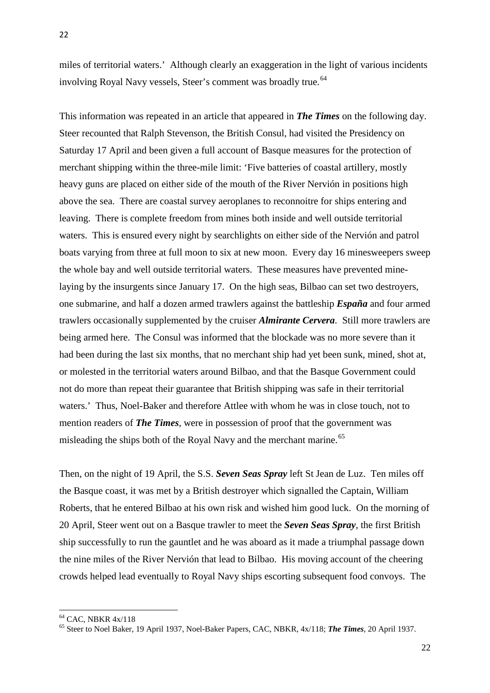miles of territorial waters.' Although clearly an exaggeration in the light of various incidents involving Royal Navy vessels, Steer's comment was broadly true.<sup>[64](#page-21-0)</sup>

This information was repeated in an article that appeared in *The Times* on the following day. Steer recounted that Ralph Stevenson, the British Consul, had visited the Presidency on Saturday 17 April and been given a full account of Basque measures for the protection of merchant shipping within the three-mile limit: 'Five batteries of coastal artillery, mostly heavy guns are placed on either side of the mouth of the River Nervión in positions high above the sea. There are coastal survey aeroplanes to reconnoitre for ships entering and leaving. There is complete freedom from mines both inside and well outside territorial waters. This is ensured every night by searchlights on either side of the Nervión and patrol boats varying from three at full moon to six at new moon. Every day 16 minesweepers sweep the whole bay and well outside territorial waters. These measures have prevented minelaying by the insurgents since January 17. On the high seas, Bilbao can set two destroyers, one submarine, and half a dozen armed trawlers against the battleship *España* and four armed trawlers occasionally supplemented by the cruiser *Almirante Cervera*. Still more trawlers are being armed here. The Consul was informed that the blockade was no more severe than it had been during the last six months, that no merchant ship had yet been sunk, mined, shot at, or molested in the territorial waters around Bilbao, and that the Basque Government could not do more than repeat their guarantee that British shipping was safe in their territorial waters.' Thus, Noel-Baker and therefore Attlee with whom he was in close touch, not to mention readers of *The Times*, were in possession of proof that the government was misleading the ships both of the Royal Navy and the merchant marine.<sup>[65](#page-21-1)</sup>

Then, on the night of 19 April, the S.S. *Seven Seas Spray* left St Jean de Luz. Ten miles off the Basque coast, it was met by a British destroyer which signalled the Captain, William Roberts, that he entered Bilbao at his own risk and wished him good luck. On the morning of 20 April, Steer went out on a Basque trawler to meet the *Seven Seas Spray*, the first British ship successfully to run the gauntlet and he was aboard as it made a triumphal passage down the nine miles of the River Nervión that lead to Bilbao. His moving account of the cheering crowds helped lead eventually to Royal Navy ships escorting subsequent food convoys. The

<span id="page-21-1"></span><span id="page-21-0"></span><sup>&</sup>lt;sup>64</sup> CAC, NBKR 4x/118<br><sup>65</sup> Steer to Noel Baker, 19 April 1937, Noel-Baker Papers, CAC, NBKR, 4x/118; *The Times*, 20 April 1937.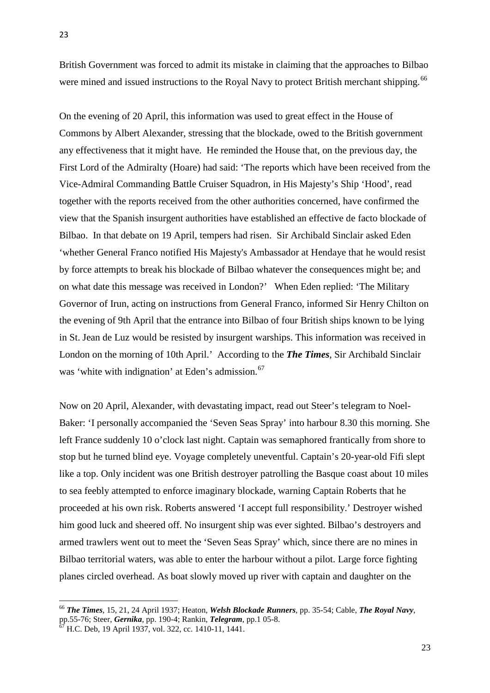British Government was forced to admit its mistake in claiming that the approaches to Bilbao were mined and issued instructions to the Royal Navy to protect British merchant shipping.<sup>[66](#page-22-0)</sup>

On the evening of 20 April, this information was used to great effect in the House of Commons by Albert Alexander, stressing that the blockade, owed to the British government any effectiveness that it might have. He reminded the House that, on the previous day, the First Lord of the Admiralty (Hoare) had said: 'The reports which have been received from the Vice-Admiral Commanding Battle Cruiser Squadron, in His Majesty's Ship 'Hood', read together with the reports received from the other authorities concerned, have confirmed the view that the Spanish insurgent authorities have established an effective de facto blockade of Bilbao. In that debate on 19 April, tempers had risen. Sir Archibald Sinclair asked Eden 'whether General Franco notified His Majesty's Ambassador at Hendaye that he would resist by force attempts to break his blockade of Bilbao whatever the consequences might be; and on what date this message was received in London?' When Eden replied: 'The Military Governor of Irun, acting on instructions from General Franco, informed Sir Henry Chilton on the evening of 9th April that the entrance into Bilbao of four British ships known to be lying in St. Jean de Luz would be resisted by insurgent warships. This information was received in London on the morning of 10th April.' According to the *The Times*, Sir Archibald Sinclair was 'white with indignation' at Eden's admission.<sup>67</sup>

Now on 20 April, Alexander, with devastating impact, read out Steer's telegram to Noel-Baker: 'I personally accompanied the 'Seven Seas Spray' into harbour 8.30 this morning. She left France suddenly 10 o'clock last night. Captain was semaphored frantically from shore to stop but he turned blind eye. Voyage completely uneventful. Captain's 20-year-old Fifi slept like a top. Only incident was one British destroyer patrolling the Basque coast about 10 miles to sea feebly attempted to enforce imaginary blockade, warning Captain Roberts that he proceeded at his own risk. Roberts answered 'I accept full responsibility.' Destroyer wished him good luck and sheered off. No insurgent ship was ever sighted. Bilbao's destroyers and armed trawlers went out to meet the 'Seven Seas Spray' which, since there are no mines in Bilbao territorial waters, was able to enter the harbour without a pilot. Large force fighting planes circled overhead. As boat slowly moved up river with captain and daughter on the

<span id="page-22-0"></span><sup>66</sup> *The Times*, 15, 21, 24 April 1937; Heaton, *Welsh Blockade Runners*, pp. 35-54; Cable, *The Royal Navy*, pp.55-76; Steer, *Gernika*, pp. 190-4; Rankin, *Telegram*, pp.1 05-8. <sup>67</sup> H.C. Deb, 19 April 1937, vol. 322, cc. 1410-11, 1441.

<span id="page-22-1"></span>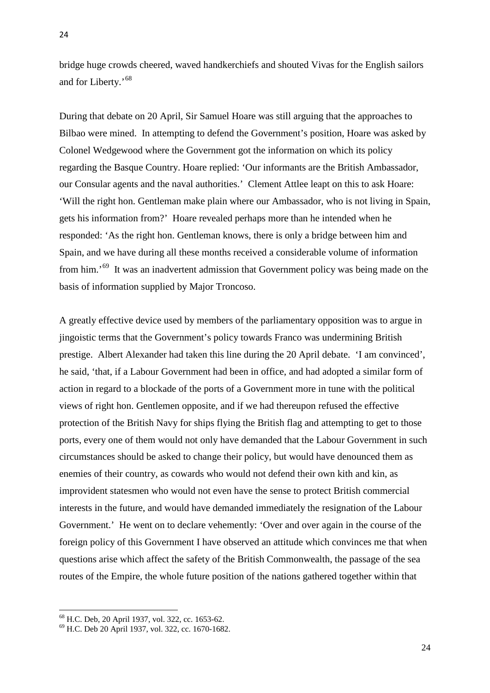bridge huge crowds cheered, waved handkerchiefs and shouted Vivas for the English sailors and for Liberty.'[68](#page-23-0)

During that debate on 20 April, Sir Samuel Hoare was still arguing that the approaches to Bilbao were mined. In attempting to defend the Government's position, Hoare was asked by Colonel Wedgewood where the Government got the information on which its policy regarding the Basque Country. Hoare replied: 'Our informants are the British Ambassador, our Consular agents and the naval authorities.' Clement Attlee leapt on this to ask Hoare: 'Will the right hon. Gentleman make plain where our Ambassador, who is not living in Spain, gets his information from?' Hoare revealed perhaps more than he intended when he responded: 'As the right hon. Gentleman knows, there is only a bridge between him and Spain, and we have during all these months received a considerable volume of information from him.'[69](#page-23-1) It was an inadvertent admission that Government policy was being made on the basis of information supplied by Major Troncoso.

A greatly effective device used by members of the parliamentary opposition was to argue in jingoistic terms that the Government's policy towards Franco was undermining British prestige. Albert Alexander had taken this line during the 20 April debate. 'I am convinced', he said, 'that, if a Labour Government had been in office, and had adopted a similar form of action in regard to a blockade of the ports of a Government more in tune with the political views of right hon. Gentlemen opposite, and if we had thereupon refused the effective protection of the British Navy for ships flying the British flag and attempting to get to those ports, every one of them would not only have demanded that the Labour Government in such circumstances should be asked to change their policy, but would have denounced them as enemies of their country, as cowards who would not defend their own kith and kin, as improvident statesmen who would not even have the sense to protect British commercial interests in the future, and would have demanded immediately the resignation of the Labour Government.' He went on to declare vehemently: 'Over and over again in the course of the foreign policy of this Government I have observed an attitude which convinces me that when questions arise which affect the safety of the British Commonwealth, the passage of the sea routes of the Empire, the whole future position of the nations gathered together within that

<span id="page-23-1"></span><span id="page-23-0"></span><sup>&</sup>lt;sup>68</sup> H.C. Deb, 20 April 1937, vol. 322, cc. 1653-62.<br><sup>69</sup> H.C. Deb 20 April 1937, vol. 322, cc. 1670-1682.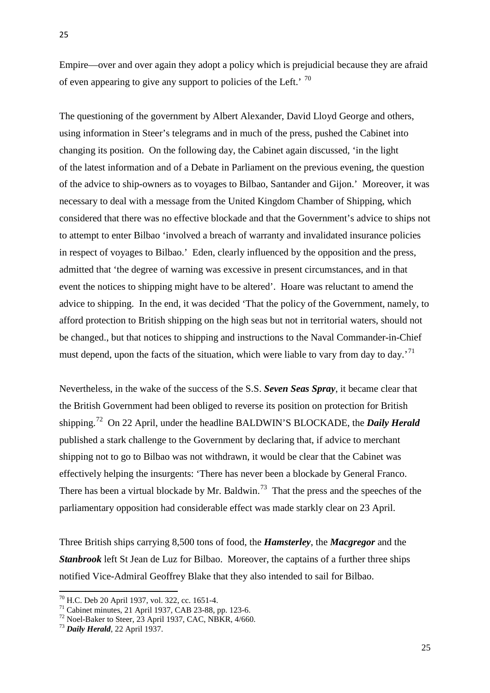Empire—over and over again they adopt a policy which is prejudicial because they are afraid of even appearing to give any support to policies of the Left.<sup> $70$ </sup>

The questioning of the government by Albert Alexander, David Lloyd George and others, using information in Steer's telegrams and in much of the press, pushed the Cabinet into changing its position. On the following day, the Cabinet again discussed, 'in the light of the latest information and of a Debate in Parliament on the previous evening, the question of the advice to ship-owners as to voyages to Bilbao, Santander and Gijon.' Moreover, it was necessary to deal with a message from the United Kingdom Chamber of Shipping, which considered that there was no effective blockade and that the Government's advice to ships not to attempt to enter Bilbao 'involved a breach of warranty and invalidated insurance policies in respect of voyages to Bilbao.' Eden, clearly influenced by the opposition and the press, admitted that 'the degree of warning was excessive in present circumstances, and in that event the notices to shipping might have to be altered'. Hoare was reluctant to amend the advice to shipping. In the end, it was decided 'That the policy of the Government, namely, to afford protection to British shipping on the high seas but not in territorial waters, should not be changed., but that notices to shipping and instructions to the Naval Commander-in-Chief must depend, upon the facts of the situation, which were liable to vary from day to day.<sup>[71](#page-24-1)</sup>

Nevertheless, in the wake of the success of the S.S. *Seven Seas Spray*, it became clear that the British Government had been obliged to reverse its position on protection for British shipping. [72](#page-24-2) On 22 April, under the headline BALDWIN'S BLOCKADE, the *Daily Herald* published a stark challenge to the Government by declaring that, if advice to merchant shipping not to go to Bilbao was not withdrawn, it would be clear that the Cabinet was effectively helping the insurgents: 'There has never been a blockade by General Franco. There has been a virtual blockade by Mr. Baldwin.<sup>73</sup> That the press and the speeches of the parliamentary opposition had considerable effect was made starkly clear on 23 April.

Three British ships carrying 8,500 tons of food, the *Hamsterley*, the *Macgregor* and the *Stanbrook* left St Jean de Luz for Bilbao. Moreover, the captains of a further three ships notified Vice-Admiral Geoffrey Blake that they also intended to sail for Bilbao.

<span id="page-24-2"></span><span id="page-24-1"></span>

<span id="page-24-0"></span><sup>&</sup>lt;sup>70</sup> H.C. Deb 20 April 1937, vol. 322, cc. 1651-4.<br><sup>71</sup> Cabinet minutes, 21 April 1937, CAB 23-88, pp. 123-6.<br><sup>72</sup> Noel-Baker to Steer, 23 April 1937, CAC, NBKR, 4/660.<br><sup>73</sup> *Daily Herald*, 22 April 1937.

<span id="page-24-3"></span>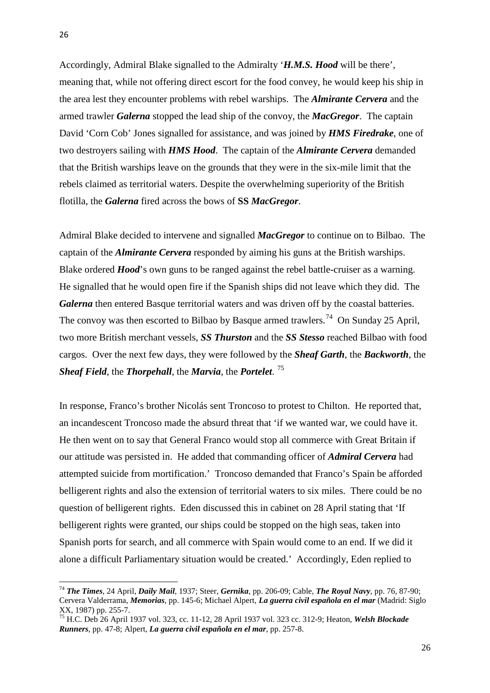Accordingly, Admiral Blake signalled to the Admiralty '*H.M.S. Hood* will be there', meaning that, while not offering direct escort for the food convey, he would keep his ship in the area lest they encounter problems with rebel warships. The *Almirante Cervera* and the armed trawler *Galerna* stopped the lead ship of the convoy, the *MacGregor*. The captain David 'Corn Cob' Jones signalled for assistance, and was joined by *HMS Firedrake*, one of two destroyers sailing with *HMS Hood*. The captain of the *Almirante Cervera* demanded that the British warships leave on the grounds that they were in the six-mile limit that the rebels claimed as territorial waters. Despite the overwhelming superiority of the British flotilla, the *Galerna* fired across the bows of **SS** *MacGregor*.

Admiral Blake decided to intervene and signalled *MacGregor* to continue on to Bilbao. The captain of the *Almirante Cervera* responded by aiming his guns at the British warships. Blake ordered *Hood*'s own guns to be ranged against the rebel battle-cruiser as a warning. He signalled that he would open fire if the Spanish ships did not leave which they did. The *Galerna* then entered Basque territorial waters and was driven off by the coastal batteries. The convoy was then escorted to Bilbao by Basque armed trawlers.<sup>[74](#page-25-0)</sup> On Sunday 25 April, two more British merchant vessels, *SS Thurston* and the *SS Stesso* reached Bilbao with food cargos. Over the next few days, they were followed by the *Sheaf Garth*, the *Backworth*, the *Sheaf Field*, the *Thorpehall*, the *Marvia*, the *Portelet*. [75](#page-25-1)

In response, Franco's brother Nicolás sent Troncoso to protest to Chilton. He reported that, an incandescent Troncoso made the absurd threat that 'if we wanted war, we could have it. He then went on to say that General Franco would stop all commerce with Great Britain if our attitude was persisted in. He added that commanding officer of *Admiral Cervera* had attempted suicide from mortification.' Troncoso demanded that Franco's Spain be afforded belligerent rights and also the extension of territorial waters to six miles. There could be no question of belligerent rights. Eden discussed this in cabinet on 28 April stating that 'If belligerent rights were granted, our ships could be stopped on the high seas, taken into Spanish ports for search, and all commerce with Spain would come to an end. If we did it alone a difficult Parliamentary situation would be created.' Accordingly, Eden replied to

<span id="page-25-0"></span><sup>74</sup> *The Times*, 24 April, *Daily Mail*, 1937; Steer, *Gernika*, pp. 206-09; Cable, *The Royal Navy*, pp. 76, 87-90; Cervera Valderrama, *Memorias*, pp. 145-6; Michael Alpert, *La guerra civil española en el mar* (Madrid: Siglo XX, 1987) pp. 255-7. 75 H.C. Deb 26 April 1937 vol. 323, cc. 11-12, 28 April 1937 vol. 323 cc. 312-9; Heaton, *Welsh Blockade* 

<span id="page-25-1"></span>*Runners*, pp. 47-8; Alpert, *La guerra civil española en el mar*, pp. 257-8.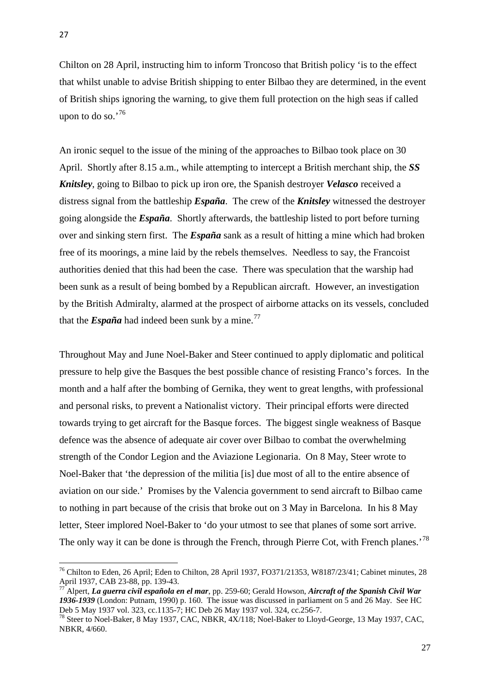Chilton on 28 April, instructing him to inform Troncoso that British policy 'is to the effect that whilst unable to advise British shipping to enter Bilbao they are determined, in the event of British ships ignoring the warning, to give them full protection on the high seas if called upon to do so.'<sup>[76](#page-26-0)</sup>

An ironic sequel to the issue of the mining of the approaches to Bilbao took place on 30 April. Shortly after 8.15 a.m., while attempting to intercept a British merchant ship, the *SS Knitsley*, going to Bilbao to pick up iron ore, the Spanish destroyer *Velasco* received a distress signal from the battleship *España*. The crew of the *Knitsley* witnessed the destroyer going alongside the *España*. Shortly afterwards, the battleship listed to port before turning over and sinking stern first. The *España* sank as a result of hitting a mine which had broken free of its moorings, a mine laid by the rebels themselves. Needless to say, the Francoist authorities denied that this had been the case. There was speculation that the warship had been sunk as a result of being bombed by a Republican aircraft. However, an investigation by the British Admiralty, alarmed at the prospect of airborne attacks on its vessels, concluded that the **España** had indeed been sunk by a mine.<sup>[77](#page-26-1)</sup>

Throughout May and June Noel-Baker and Steer continued to apply diplomatic and political pressure to help give the Basques the best possible chance of resisting Franco's forces. In the month and a half after the bombing of Gernika, they went to great lengths, with professional and personal risks, to prevent a Nationalist victory. Their principal efforts were directed towards trying to get aircraft for the Basque forces. The biggest single weakness of Basque defence was the absence of adequate air cover over Bilbao to combat the overwhelming strength of the Condor Legion and the Aviazione Legionaria. On 8 May, Steer wrote to Noel-Baker that 'the depression of the militia [is] due most of all to the entire absence of aviation on our side.' Promises by the Valencia government to send aircraft to Bilbao came to nothing in part because of the crisis that broke out on 3 May in Barcelona. In his 8 May letter, Steer implored Noel-Baker to 'do your utmost to see that planes of some sort arrive. The only way it can be done is through the French, through Pierre Cot, with French planes.<sup>78</sup>

<span id="page-26-0"></span><sup>&</sup>lt;sup>76</sup> Chilton to Eden, 26 April; Eden to Chilton, 28 April 1937, FO371/21353, W8187/23/41; Cabinet minutes, 28<br>April 1937, CAB 23-88, pp. 139-43.

<span id="page-26-1"></span>April 1937, CAB 23-88, pp. 139-43. <sup>77</sup> Alpert, *La guerra civil española en el mar*, pp. 259-60; Gerald Howson, *Aircraft of the Spanish Civil War*  1936-1939 (London: Putnam, 1990) p. 160. The issue was discussed in parliament on 5 and 26 May. See HC<br>Deb 5 May 1937 vol. 323, cc.1135-7; HC Deb 26 May 1937 vol. 324, cc.256-7.

<span id="page-26-2"></span> $^{78}$  Steer to Noel-Baker, 8 May 1937, CAC, NBKR,  $4X/118$ ; Noel-Baker to Lloyd-George, 13 May 1937, CAC, NBKR, 4/660.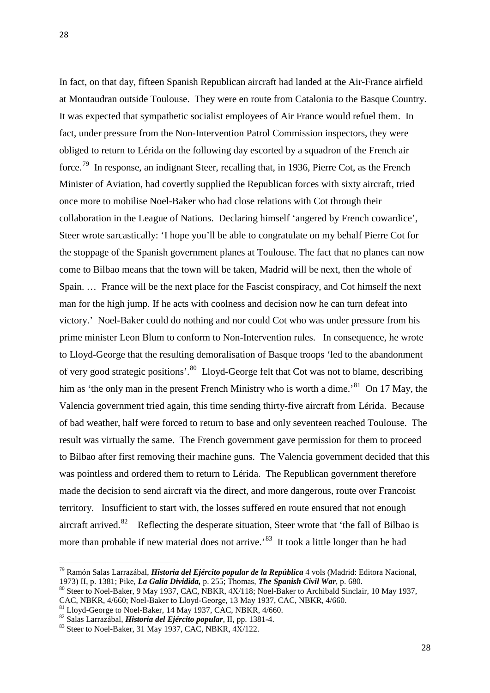In fact, on that day, fifteen Spanish Republican aircraft had landed at the Air-France airfield at Montaudran outside Toulouse. They were en route from Catalonia to the Basque Country. It was expected that sympathetic socialist employees of Air France would refuel them. In fact, under pressure from the Non-Intervention Patrol Commission inspectors, they were obliged to return to Lérida on the following day escorted by a squadron of the French air force.<sup>[79](#page-27-0)</sup> In response, an indignant Steer, recalling that, in 1936, Pierre Cot, as the French Minister of Aviation, had covertly supplied the Republican forces with sixty aircraft, tried once more to mobilise Noel-Baker who had close relations with Cot through their collaboration in the League of Nations. Declaring himself 'angered by French cowardice', Steer wrote sarcastically: 'I hope you'll be able to congratulate on my behalf Pierre Cot for the stoppage of the Spanish government planes at Toulouse. The fact that no planes can now come to Bilbao means that the town will be taken, Madrid will be next, then the whole of Spain. … France will be the next place for the Fascist conspiracy, and Cot himself the next man for the high jump. If he acts with coolness and decision now he can turn defeat into victory.' Noel-Baker could do nothing and nor could Cot who was under pressure from his prime minister Leon Blum to conform to Non-Intervention rules. In consequence, he wrote to Lloyd-George that the resulting demoralisation of Basque troops 'led to the abandonment of very good strategic positions'.<sup>[80](#page-27-1)</sup> Lloyd-George felt that Cot was not to blame, describing him as 'the only man in the present French Ministry who is worth a dime.'<sup>[81](#page-27-2)</sup> On 17 May, the Valencia government tried again, this time sending thirty-five aircraft from Lérida. Because of bad weather, half were forced to return to base and only seventeen reached Toulouse. The result was virtually the same. The French government gave permission for them to proceed to Bilbao after first removing their machine guns. The Valencia government decided that this was pointless and ordered them to return to Lérida. The Republican government therefore made the decision to send aircraft via the direct, and more dangerous, route over Francoist territory. Insufficient to start with, the losses suffered en route ensured that not enough aircraft arrived.<sup>[82](#page-27-3)</sup> Reflecting the desperate situation, Steer wrote that 'the fall of Bilbao is more than probable if new material does not arrive.<sup>83</sup> It took a little longer than he had

<span id="page-27-0"></span><sup>&</sup>lt;sup>79</sup> Ramón Salas Larrazábal, *Historia del Ejército popular de la República* 4 vols (Madrid: Editora Nacional, 1973) II, p. 1381; Pike, *La Galia Dividida*, p. 255; Thomas, *The Spanish Civil War*, p. 680.

<span id="page-27-1"></span><sup>&</sup>lt;sup>80</sup> Steer to Noel-Baker, 9 May 1937, CAC, NBKR, 4X/118; Noel-Baker to Archibald Sinclair, 10 May 1937, CAC, NBKR, 4/660.

<span id="page-27-2"></span><sup>&</sup>lt;sup>81</sup> Lloyd-George to Noel-Baker, 14 May 1937, CAC, NBKR, 4/660.<br><sup>82</sup> Salas Larrazábal, *Historia del Ejército popular*, II, pp. 1381-4.<br><sup>83</sup> Steer to Noel-Baker, 31 May 1937, CAC, NBKR, 4X/122.

<span id="page-27-3"></span>

<span id="page-27-4"></span>